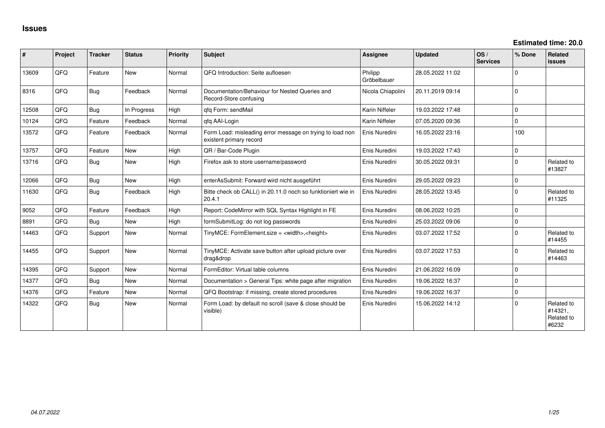**Estimated time: 20.0**

| ∦     | Project | <b>Tracker</b> | <b>Status</b> | <b>Priority</b> | <b>Subject</b>                                                                       | <b>Assignee</b>        | <b>Updated</b>   | OS/<br><b>Services</b> | % Done      | Related<br>issues                            |
|-------|---------|----------------|---------------|-----------------|--------------------------------------------------------------------------------------|------------------------|------------------|------------------------|-------------|----------------------------------------------|
| 13609 | QFQ     | Feature        | <b>New</b>    | Normal          | QFQ Introduction: Seite aufloesen                                                    | Philipp<br>Gröbelbauer | 28.05.2022 11:02 |                        | $\Omega$    |                                              |
| 8316  | QFQ     | i Bug          | Feedback      | Normal          | Documentation/Behaviour for Nested Queries and<br>Record-Store confusing             | Nicola Chiapolini      | 20.11.2019 09:14 |                        | $\Omega$    |                                              |
| 12508 | QFQ     | Bug            | In Progress   | High            | gfg Form: sendMail                                                                   | Karin Niffeler         | 19.03.2022 17:48 |                        | $\Omega$    |                                              |
| 10124 | QFQ     | Feature        | Feedback      | Normal          | qfq AAI-Login                                                                        | Karin Niffeler         | 07.05.2020 09:36 |                        | $\Omega$    |                                              |
| 13572 | QFQ     | Feature        | Feedback      | Normal          | Form Load: misleading error message on trying to load non<br>existent primary record | Enis Nuredini          | 16.05.2022 23:16 |                        | 100         |                                              |
| 13757 | QFQ     | Feature        | <b>New</b>    | High            | QR / Bar-Code Plugin                                                                 | Enis Nuredini          | 19.03.2022 17:43 |                        | $\Omega$    |                                              |
| 13716 | QFQ     | Bug            | <b>New</b>    | High            | Firefox ask to store username/password                                               | Enis Nuredini          | 30.05.2022 09:31 |                        | $\Omega$    | Related to<br>#13827                         |
| 12066 | QFQ     | <b>Bug</b>     | <b>New</b>    | High            | enterAsSubmit: Forward wird nicht ausgeführt                                         | Enis Nuredini          | 29.05.2022 09:23 |                        | $\Omega$    |                                              |
| 11630 | QFQ     | <b>Bug</b>     | Feedback      | High            | Bitte check ob CALL() in 20.11.0 noch so funktioniert wie in<br>20.4.1               | Enis Nuredini          | 28.05.2022 13:45 |                        | $\Omega$    | Related to<br>#11325                         |
| 9052  | QFQ     | Feature        | Feedback      | High            | Report: CodeMirror with SQL Syntax Highlight in FE                                   | Enis Nuredini          | 08.06.2022 10:25 |                        | $\Omega$    |                                              |
| 8891  | QFQ     | Bug            | New           | High            | formSubmitLog: do not log passwords                                                  | Enis Nuredini          | 25.03.2022 09:06 |                        | $\mathbf 0$ |                                              |
| 14463 | QFQ     | Support        | <b>New</b>    | Normal          | TinyMCE: FormElement.size = <width>,<height></height></width>                        | Enis Nuredini          | 03.07.2022 17:52 |                        | $\Omega$    | Related to<br>#14455                         |
| 14455 | QFQ     | Support        | <b>New</b>    | Normal          | TinyMCE: Activate save button after upload picture over<br>drag&drop                 | Enis Nuredini          | 03.07.2022 17:53 |                        | $\Omega$    | Related to<br>#14463                         |
| 14395 | QFQ     | Support        | <b>New</b>    | Normal          | FormEditor: Virtual table columns                                                    | Enis Nuredini          | 21.06.2022 16:09 |                        | $\Omega$    |                                              |
| 14377 | QFQ     | Bug            | <b>New</b>    | Normal          | Documentation > General Tips: white page after migration                             | Enis Nuredini          | 19.06.2022 16:37 |                        | $\Omega$    |                                              |
| 14376 | QFQ     | Feature        | New           | Normal          | QFQ Bootstrap: if missing, create stored procedures                                  | Enis Nuredini          | 19.06.2022 16:37 |                        | $\mathbf 0$ |                                              |
| 14322 | QFQ     | Bug            | <b>New</b>    | Normal          | Form Load: by default no scroll (save & close should be<br>visible)                  | Enis Nuredini          | 15.06.2022 14:12 |                        | $\Omega$    | Related to<br>#14321,<br>Related to<br>#6232 |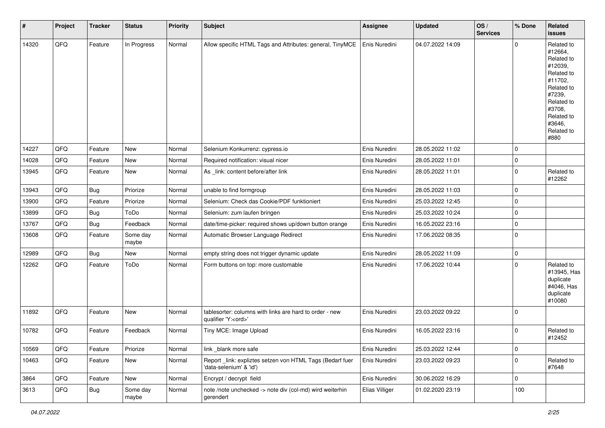| $\vert$ # | Project | <b>Tracker</b> | <b>Status</b>     | <b>Priority</b> | <b>Subject</b>                                                                        | <b>Assignee</b> | Updated          | OS/<br><b>Services</b> | % Done      | Related<br><b>issues</b>                                                                                                                                              |
|-----------|---------|----------------|-------------------|-----------------|---------------------------------------------------------------------------------------|-----------------|------------------|------------------------|-------------|-----------------------------------------------------------------------------------------------------------------------------------------------------------------------|
| 14320     | QFQ     | Feature        | In Progress       | Normal          | Allow specific HTML Tags and Attributes: general, TinyMCE                             | Enis Nuredini   | 04.07.2022 14:09 |                        | $\Omega$    | Related to<br>#12664,<br>Related to<br>#12039,<br>Related to<br>#11702,<br>Related to<br>#7239,<br>Related to<br>#3708,<br>Related to<br>#3646,<br>Related to<br>#880 |
| 14227     | QFQ     | Feature        | New               | Normal          | Selenium Konkurrenz: cypress.io                                                       | Enis Nuredini   | 28.05.2022 11:02 |                        | $\mathbf 0$ |                                                                                                                                                                       |
| 14028     | QFQ     | Feature        | New               | Normal          | Required notification: visual nicer                                                   | Enis Nuredini   | 28.05.2022 11:01 |                        | $\mathbf 0$ |                                                                                                                                                                       |
| 13945     | QFQ     | Feature        | New               | Normal          | As _link: content before/after link                                                   | Enis Nuredini   | 28.05.2022 11:01 |                        | $\mathbf 0$ | Related to<br>#12262                                                                                                                                                  |
| 13943     | QFQ     | <b>Bug</b>     | Priorize          | Normal          | unable to find formgroup                                                              | Enis Nuredini   | 28.05.2022 11:03 |                        | $\mathbf 0$ |                                                                                                                                                                       |
| 13900     | QFQ     | Feature        | Priorize          | Normal          | Selenium: Check das Cookie/PDF funktioniert                                           | Enis Nuredini   | 25.03.2022 12:45 |                        | $\mathbf 0$ |                                                                                                                                                                       |
| 13899     | QFQ     | Bug            | ToDo              | Normal          | Selenium: zum laufen bringen                                                          | Enis Nuredini   | 25.03.2022 10:24 |                        | $\mathbf 0$ |                                                                                                                                                                       |
| 13767     | QFQ     | <b>Bug</b>     | Feedback          | Normal          | date/time-picker: required shows up/down button orange                                | Enis Nuredini   | 16.05.2022 23:16 |                        | $\mathbf 0$ |                                                                                                                                                                       |
| 13608     | QFQ     | Feature        | Some day<br>maybe | Normal          | Automatic Browser Language Redirect                                                   | Enis Nuredini   | 17.06.2022 08:35 |                        | $\mathbf 0$ |                                                                                                                                                                       |
| 12989     | QFQ     | <b>Bug</b>     | New               | Normal          | empty string does not trigger dynamic update                                          | Enis Nuredini   | 28.05.2022 11:09 |                        | $\mathbf 0$ |                                                                                                                                                                       |
| 12262     | QFQ     | Feature        | ToDo              | Normal          | Form buttons on top: more customable                                                  | Enis Nuredini   | 17.06.2022 10:44 |                        | $\mathbf 0$ | Related to<br>#13945, Has<br>duplicate<br>#4046, Has<br>duplicate<br>#10080                                                                                           |
| 11892     | QFQ     | Feature        | New               | Normal          | tablesorter: columns with links are hard to order - new<br>qualifier 'Y: <ord>'</ord> | Enis Nuredini   | 23.03.2022 09:22 |                        | $\mathbf 0$ |                                                                                                                                                                       |
| 10782     | QFQ     | Feature        | Feedback          | Normal          | Tiny MCE: Image Upload                                                                | Enis Nuredini   | 16.05.2022 23:16 |                        | $\mathbf 0$ | Related to<br>#12452                                                                                                                                                  |
| 10569     | QFQ     | Feature        | Priorize          | Normal          | link _blank more safe                                                                 | Enis Nuredini   | 25.03.2022 12:44 |                        | $\mathbf 0$ |                                                                                                                                                                       |
| 10463     | QFQ     | Feature        | New               | Normal          | Report_link: expliztes setzen von HTML Tags (Bedarf fuer<br>'data-selenium' & 'id')   | Enis Nuredini   | 23.03.2022 09:23 |                        | $\mathbf 0$ | Related to<br>#7648                                                                                                                                                   |
| 3864      | QFQ     | Feature        | New               | Normal          | Encrypt / decrypt field                                                               | Enis Nuredini   | 30.06.2022 16:29 |                        | $\mathbf 0$ |                                                                                                                                                                       |
| 3613      | QFQ     | <b>Bug</b>     | Some day<br>maybe | Normal          | note /note unchecked -> note div (col-md) wird weiterhin<br>gerendert                 | Elias Villiger  | 01.02.2020 23:19 |                        | 100         |                                                                                                                                                                       |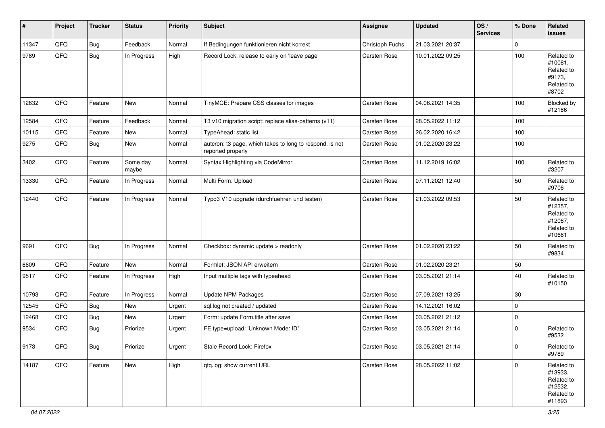| $\vert$ # | Project | <b>Tracker</b> | <b>Status</b>     | <b>Priority</b> | <b>Subject</b>                                                                | <b>Assignee</b> | <b>Updated</b>   | OS/<br><b>Services</b> | % Done      | Related<br>issues                                                      |
|-----------|---------|----------------|-------------------|-----------------|-------------------------------------------------------------------------------|-----------------|------------------|------------------------|-------------|------------------------------------------------------------------------|
| 11347     | QFQ     | <b>Bug</b>     | Feedback          | Normal          | If Bedingungen funktionieren nicht korrekt                                    | Christoph Fuchs | 21.03.2021 20:37 |                        | $\mathbf 0$ |                                                                        |
| 9789      | QFQ     | <b>Bug</b>     | In Progress       | High            | Record Lock: release to early on 'leave page'                                 | Carsten Rose    | 10.01.2022 09:25 |                        | 100         | Related to<br>#10081,<br>Related to<br>#9173,<br>Related to<br>#8702   |
| 12632     | QFQ     | Feature        | New               | Normal          | TinyMCE: Prepare CSS classes for images                                       | Carsten Rose    | 04.06.2021 14:35 |                        | 100         | Blocked by<br>#12186                                                   |
| 12584     | QFQ     | Feature        | Feedback          | Normal          | T3 v10 migration script: replace alias-patterns (v11)                         | Carsten Rose    | 28.05.2022 11:12 |                        | 100         |                                                                        |
| 10115     | QFQ     | Feature        | New               | Normal          | TypeAhead: static list                                                        | Carsten Rose    | 26.02.2020 16:42 |                        | 100         |                                                                        |
| 9275      | QFQ     | <b>Bug</b>     | New               | Normal          | autcron: t3 page, which takes to long to respond, is not<br>reported properly | Carsten Rose    | 01.02.2020 23:22 |                        | 100         |                                                                        |
| 3402      | QFQ     | Feature        | Some day<br>maybe | Normal          | Syntax Highlighting via CodeMirror                                            | Carsten Rose    | 11.12.2019 16:02 |                        | 100         | Related to<br>#3207                                                    |
| 13330     | QFQ     | Feature        | In Progress       | Normal          | Multi Form: Upload                                                            | Carsten Rose    | 07.11.2021 12:40 |                        | 50          | Related to<br>#9706                                                    |
| 12440     | QFQ     | Feature        | In Progress       | Normal          | Typo3 V10 upgrade (durchfuehren und testen)                                   | Carsten Rose    | 21.03.2022 09:53 |                        | 50          | Related to<br>#12357,<br>Related to<br>#12067,<br>Related to<br>#10661 |
| 9691      | QFQ     | <b>Bug</b>     | In Progress       | Normal          | Checkbox: dynamic update > readonly                                           | Carsten Rose    | 01.02.2020 23:22 |                        | 50          | Related to<br>#9834                                                    |
| 6609      | QFQ     | Feature        | <b>New</b>        | Normal          | Formlet: JSON API erweitern                                                   | Carsten Rose    | 01.02.2020 23:21 |                        | 50          |                                                                        |
| 9517      | QFQ     | Feature        | In Progress       | High            | Input multiple tags with typeahead                                            | Carsten Rose    | 03.05.2021 21:14 |                        | 40          | Related to<br>#10150                                                   |
| 10793     | QFQ     | Feature        | In Progress       | Normal          | <b>Update NPM Packages</b>                                                    | Carsten Rose    | 07.09.2021 13:25 |                        | 30          |                                                                        |
| 12545     | QFQ     | <b>Bug</b>     | New               | Urgent          | sql.log not created / updated                                                 | Carsten Rose    | 14.12.2021 16:02 |                        | $\mathbf 0$ |                                                                        |
| 12468     | QFQ     | <b>Bug</b>     | New               | Urgent          | Form: update Form.title after save                                            | Carsten Rose    | 03.05.2021 21:12 |                        | $\mathbf 0$ |                                                                        |
| 9534      | QFQ     | <b>Bug</b>     | Priorize          | Urgent          | FE.type=upload: 'Unknown Mode: ID"                                            | Carsten Rose    | 03.05.2021 21:14 |                        | $\mathbf 0$ | Related to<br>#9532                                                    |
| 9173      | QFQ     | <b>Bug</b>     | Priorize          | Urgent          | Stale Record Lock: Firefox                                                    | Carsten Rose    | 03.05.2021 21:14 |                        | $\pmb{0}$   | Related to<br>#9789                                                    |
| 14187     | QFQ     | Feature        | New               | High            | qfq.log: show current URL                                                     | Carsten Rose    | 28.05.2022 11:02 |                        | $\pmb{0}$   | Related to<br>#13933,<br>Related to<br>#12532,<br>Related to<br>#11893 |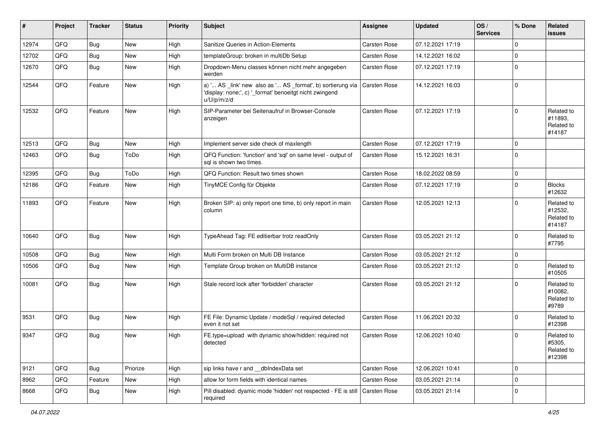| #     | Project | <b>Tracker</b> | <b>Status</b> | <b>Priority</b> | <b>Subject</b>                                                                                                                        | Assignee            | <b>Updated</b>   | OS/<br><b>Services</b> | % Done      | Related<br><b>issues</b>                      |
|-------|---------|----------------|---------------|-----------------|---------------------------------------------------------------------------------------------------------------------------------------|---------------------|------------------|------------------------|-------------|-----------------------------------------------|
| 12974 | QFQ     | <b>Bug</b>     | New           | High            | Sanitize Queries in Action-Elements                                                                                                   | <b>Carsten Rose</b> | 07.12.2021 17:19 |                        | $\mathbf 0$ |                                               |
| 12702 | QFQ     | <b>Bug</b>     | New           | High            | templateGroup: broken in multiDb Setup                                                                                                | Carsten Rose        | 14.12.2021 16:02 |                        | $\mathbf 0$ |                                               |
| 12670 | QFQ     | Bug            | New           | High            | Dropdown-Menu classes können nicht mehr angegeben<br>werden                                                                           | Carsten Rose        | 07.12.2021 17:19 |                        | $\mathbf 0$ |                                               |
| 12544 | QFQ     | Feature        | New           | High            | a) ' AS _link' new also as ' AS _format', b) sortierung via<br>'display: none;', c) '_format' benoeitgt nicht zwingend<br>u/U/p/m/z/d | Carsten Rose        | 14.12.2021 16:03 |                        | $\mathbf 0$ |                                               |
| 12532 | QFQ     | Feature        | New           | High            | SIP-Parameter bei Seitenaufruf in Browser-Console<br>anzeigen                                                                         | <b>Carsten Rose</b> | 07.12.2021 17:19 |                        | $\Omega$    | Related to<br>#11893,<br>Related to<br>#14187 |
| 12513 | QFQ     | <b>Bug</b>     | New           | High            | Implement server side check of maxlength                                                                                              | <b>Carsten Rose</b> | 07.12.2021 17:19 |                        | $\mathbf 0$ |                                               |
| 12463 | QFQ     | Bug            | ToDo          | High            | QFQ Function: 'function' and 'sql' on same level - output of<br>sql is shown two times.                                               | <b>Carsten Rose</b> | 15.12.2021 16:31 |                        | $\Omega$    |                                               |
| 12395 | QFQ     | Bug            | ToDo          | High            | QFQ Function: Result two times shown                                                                                                  | Carsten Rose        | 18.02.2022 08:59 |                        | $\mathbf 0$ |                                               |
| 12186 | QFQ     | Feature        | New           | High            | TinyMCE Config für Objekte                                                                                                            | Carsten Rose        | 07.12.2021 17:19 |                        | $\mathbf 0$ | <b>Blocks</b><br>#12632                       |
| 11893 | QFQ     | Feature        | New           | High            | Broken SIP: a) only report one time, b) only report in main<br>column                                                                 | Carsten Rose        | 12.05.2021 12:13 |                        | $\Omega$    | Related to<br>#12532,<br>Related to<br>#14187 |
| 10640 | QFQ     | Bug            | New           | High            | TypeAhead Tag: FE editierbar trotz readOnly                                                                                           | Carsten Rose        | 03.05.2021 21:12 |                        | $\Omega$    | Related to<br>#7795                           |
| 10508 | QFQ     | <b>Bug</b>     | New           | High            | Multi Form broken on Multi DB Instance                                                                                                | Carsten Rose        | 03.05.2021 21:12 |                        | 0           |                                               |
| 10506 | QFQ     | Bug            | New           | High            | Template Group broken on MultiDB instance                                                                                             | <b>Carsten Rose</b> | 03.05.2021 21:12 |                        | $\mathbf 0$ | Related to<br>#10505                          |
| 10081 | QFQ     | <b>Bug</b>     | New           | High            | Stale record lock after 'forbidden' character                                                                                         | Carsten Rose        | 03.05.2021 21:12 |                        | $\mathbf 0$ | Related to<br>#10082,<br>Related to<br>#9789  |
| 9531  | QFQ     | Bug            | New           | High            | FE File: Dynamic Update / modeSql / required detected<br>even it not set                                                              | Carsten Rose        | 11.06.2021 20:32 |                        | $\mathbf 0$ | Related to<br>#12398                          |
| 9347  | QFQ     | <b>Bug</b>     | <b>New</b>    | High            | FE.type=upload with dynamic show/hidden: required not<br>detected                                                                     | Carsten Rose        | 12.06.2021 10:40 |                        | 0           | Related to<br>#5305,<br>Related to<br>#12398  |
| 9121  | QFQ     | Bug            | Priorize      | High            | sip links have r and __dbIndexData set                                                                                                | Carsten Rose        | 12.06.2021 10:41 |                        | $\mathbf 0$ |                                               |
| 8962  | QFQ     | Feature        | New           | High            | allow for form fields with identical names                                                                                            | Carsten Rose        | 03.05.2021 21:14 |                        | 0           |                                               |
| 8668  | QFQ     | Bug            | New           | High            | Pill disabled: dyamic mode 'hidden' not respected - FE is still Carsten Rose<br>required                                              |                     | 03.05.2021 21:14 |                        | $\mathbf 0$ |                                               |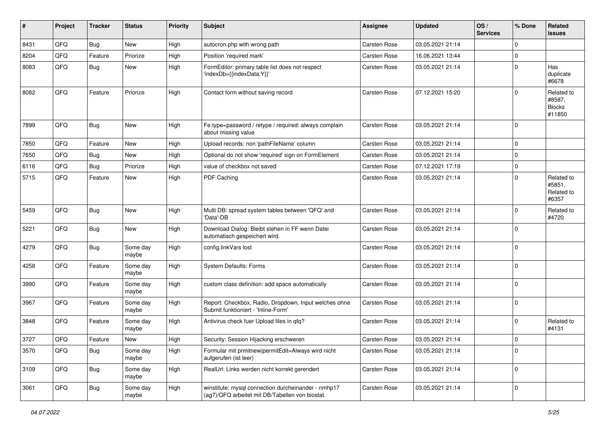| #    | Project | <b>Tracker</b> | <b>Status</b>     | <b>Priority</b> | <b>Subject</b>                                                                                         | <b>Assignee</b>     | <b>Updated</b>   | OS/<br><b>Services</b> | % Done      | Related<br><b>issues</b>                        |
|------|---------|----------------|-------------------|-----------------|--------------------------------------------------------------------------------------------------------|---------------------|------------------|------------------------|-------------|-------------------------------------------------|
| 8431 | QFQ     | Bug            | New               | High            | autocron.php with wrong path                                                                           | <b>Carsten Rose</b> | 03.05.2021 21:14 |                        | $\Omega$    |                                                 |
| 8204 | QFQ     | Feature        | Priorize          | High            | Position 'required mark'                                                                               | Carsten Rose        | 16.06.2021 13:44 |                        | $\Omega$    |                                                 |
| 8083 | QFQ     | Bug            | New               | High            | FormEditor: primary table list does not respect<br>'indexDb={{indexData:Y}}'                           | Carsten Rose        | 03.05.2021 21:14 |                        | $\Omega$    | Has<br>duplicate<br>#6678                       |
| 8082 | QFQ     | Feature        | Priorize          | High            | Contact form without saving record                                                                     | Carsten Rose        | 07.12.2021 15:20 |                        | $\Omega$    | Related to<br>#8587,<br><b>Blocks</b><br>#11850 |
| 7899 | QFQ     | Bug            | <b>New</b>        | High            | Fe.type=password / retype / required: always complain<br>about missing value                           | <b>Carsten Rose</b> | 03.05.2021 21:14 |                        | $\Omega$    |                                                 |
| 7850 | QFQ     | Feature        | <b>New</b>        | High            | Upload records: non 'pathFileName' column                                                              | Carsten Rose        | 03.05.2021 21:14 |                        | $\mathbf 0$ |                                                 |
| 7650 | QFQ     | <b>Bug</b>     | New               | High            | Optional do not show 'required' sign on FormElement                                                    | Carsten Rose        | 03.05.2021 21:14 |                        | $\mathbf 0$ |                                                 |
| 6116 | QFQ     | Bug            | Priorize          | High            | value of checkbox not saved                                                                            | Carsten Rose        | 07.12.2021 17:19 |                        | 0           |                                                 |
| 5715 | QFQ     | Feature        | <b>New</b>        | High            | PDF Caching                                                                                            | Carsten Rose        | 03.05.2021 21:14 |                        | $\Omega$    | Related to<br>#5851,<br>Related to<br>#6357     |
| 5459 | QFQ     | <b>Bug</b>     | <b>New</b>        | High            | Multi DB: spread system tables between 'QFQ' and<br>'Data'-DB                                          | <b>Carsten Rose</b> | 03.05.2021 21:14 |                        | $\Omega$    | Related to<br>#4720                             |
| 5221 | QFQ     | <b>Bug</b>     | <b>New</b>        | High            | Download Dialog: Bleibt stehen in FF wenn Datei<br>automatisch gespeichert wird.                       | Carsten Rose        | 03.05.2021 21:14 |                        | $\Omega$    |                                                 |
| 4279 | QFQ     | <b>Bug</b>     | Some day<br>maybe | High            | config.linkVars lost                                                                                   | Carsten Rose        | 03.05.2021 21:14 |                        | $\Omega$    |                                                 |
| 4258 | QFQ     | Feature        | Some day<br>maybe | High            | System Defaults: Forms                                                                                 | Carsten Rose        | 03.05.2021 21:14 |                        | $\Omega$    |                                                 |
| 3990 | QFQ     | Feature        | Some day<br>maybe | High            | custom class definition: add space automatically                                                       | Carsten Rose        | 03.05.2021 21:14 |                        | $\Omega$    |                                                 |
| 3967 | QFQ     | Feature        | Some day<br>maybe | High            | Report: Checkbox, Radio, Dropdown, Input welches ohne<br>Submit funktioniert - 'Inline-Form'           | Carsten Rose        | 03.05.2021 21:14 |                        | $\Omega$    |                                                 |
| 3848 | QFQ     | Feature        | Some day<br>maybe | High            | Antivirus check fuer Upload files in qfq?                                                              | Carsten Rose        | 03.05.2021 21:14 |                        | $\mathbf 0$ | Related to<br>#4131                             |
| 3727 | QFQ     | Feature        | <b>New</b>        | High            | Security: Session Hijacking erschweren                                                                 | <b>Carsten Rose</b> | 03.05.2021 21:14 |                        | $\mathbf 0$ |                                                 |
| 3570 | QFQ     | <b>Bug</b>     | Some day<br>maybe | High            | Formular mit prmitnew permitEdit=Always wird nicht<br>aufgerufen (ist leer)                            | Carsten Rose        | 03.05.2021 21:14 |                        | $\mathbf 0$ |                                                 |
| 3109 | QFQ     | Bug            | Some day<br>maybe | High            | RealUrl: Links werden nicht korrekt gerendert                                                          | Carsten Rose        | 03.05.2021 21:14 |                        | $\mathbf 0$ |                                                 |
| 3061 | QFQ     | <b>Bug</b>     | Some day<br>maybe | High            | winstitute: mysql connection durcheinander - nmhp17<br>(ag7)/QFQ arbeitet mit DB/Tabellen von biostat. | Carsten Rose        | 03.05.2021 21:14 |                        | $\mathbf 0$ |                                                 |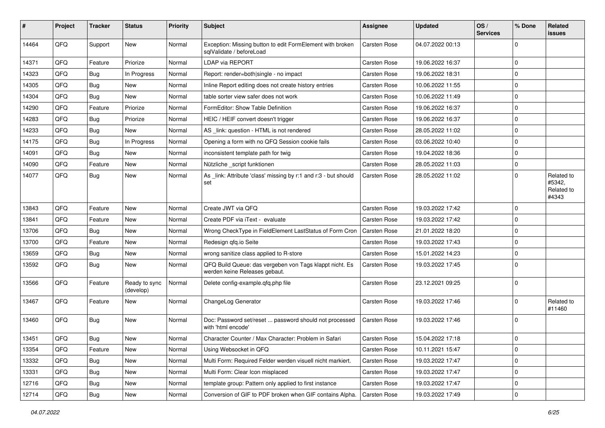| #     | Project | <b>Tracker</b> | <b>Status</b>              | <b>Priority</b> | <b>Subject</b>                                                                           | Assignee     | Updated          | OS/<br><b>Services</b> | % Done         | Related<br><b>issues</b>                    |
|-------|---------|----------------|----------------------------|-----------------|------------------------------------------------------------------------------------------|--------------|------------------|------------------------|----------------|---------------------------------------------|
| 14464 | QFQ     | Support        | New                        | Normal          | Exception: Missing button to edit FormElement with broken<br>sqlValidate / beforeLoad    | Carsten Rose | 04.07.2022 00:13 |                        | $\mathbf 0$    |                                             |
| 14371 | QFQ     | Feature        | Priorize                   | Normal          | LDAP via REPORT                                                                          | Carsten Rose | 19.06.2022 16:37 |                        | $\mathbf 0$    |                                             |
| 14323 | QFQ     | Bug            | In Progress                | Normal          | Report: render=both single - no impact                                                   | Carsten Rose | 19.06.2022 18:31 |                        | $\mathbf 0$    |                                             |
| 14305 | QFQ     | Bug            | New                        | Normal          | Inline Report editing does not create history entries                                    | Carsten Rose | 10.06.2022 11:55 |                        | $\Omega$       |                                             |
| 14304 | QFQ     | Bug            | New                        | Normal          | table sorter view safer does not work                                                    | Carsten Rose | 10.06.2022 11:49 |                        | $\mathbf 0$    |                                             |
| 14290 | QFQ     | Feature        | Priorize                   | Normal          | FormEditor: Show Table Definition                                                        | Carsten Rose | 19.06.2022 16:37 |                        | 0              |                                             |
| 14283 | QFQ     | <b>Bug</b>     | Priorize                   | Normal          | HEIC / HEIF convert doesn't trigger                                                      | Carsten Rose | 19.06.2022 16:37 |                        | $\mathbf 0$    |                                             |
| 14233 | QFQ     | <b>Bug</b>     | New                        | Normal          | AS _link: question - HTML is not rendered                                                | Carsten Rose | 28.05.2022 11:02 |                        | $\mathbf 0$    |                                             |
| 14175 | QFQ     | Bug            | In Progress                | Normal          | Opening a form with no QFQ Session cookie fails                                          | Carsten Rose | 03.06.2022 10:40 |                        | $\mathbf 0$    |                                             |
| 14091 | QFQ     | Bug            | New                        | Normal          | inconsistent template path for twig                                                      | Carsten Rose | 19.04.2022 18:36 |                        | $\mathbf 0$    |                                             |
| 14090 | QFQ     | Feature        | New                        | Normal          | Nützliche _script funktionen                                                             | Carsten Rose | 28.05.2022 11:03 |                        | $\mathbf 0$    |                                             |
| 14077 | QFQ     | Bug            | New                        | Normal          | As _link: Attribute 'class' missing by r:1 and r:3 - but should<br>set                   | Carsten Rose | 28.05.2022 11:02 |                        | $\mathbf 0$    | Related to<br>#5342,<br>Related to<br>#4343 |
| 13843 | QFQ     | Feature        | New                        | Normal          | Create JWT via QFQ                                                                       | Carsten Rose | 19.03.2022 17:42 |                        | $\mathbf 0$    |                                             |
| 13841 | QFQ     | Feature        | New                        | Normal          | Create PDF via iText - evaluate                                                          | Carsten Rose | 19.03.2022 17:42 |                        | $\mathbf 0$    |                                             |
| 13706 | QFQ     | <b>Bug</b>     | New                        | Normal          | Wrong CheckType in FieldElement LastStatus of Form Cron                                  | Carsten Rose | 21.01.2022 18:20 |                        | 0              |                                             |
| 13700 | QFQ     | Feature        | New                        | Normal          | Redesign qfq.io Seite                                                                    | Carsten Rose | 19.03.2022 17:43 |                        | $\mathbf 0$    |                                             |
| 13659 | QFQ     | Bug            | New                        | Normal          | wrong sanitize class applied to R-store                                                  | Carsten Rose | 15.01.2022 14:23 |                        | 0              |                                             |
| 13592 | QFQ     | Bug            | New                        | Normal          | QFQ Build Queue: das vergeben von Tags klappt nicht. Es<br>werden keine Releases gebaut. | Carsten Rose | 19.03.2022 17:45 |                        | $\Omega$       |                                             |
| 13566 | QFQ     | Feature        | Ready to sync<br>(develop) | Normal          | Delete config-example.qfq.php file                                                       | Carsten Rose | 23.12.2021 09:25 |                        | $\mathbf 0$    |                                             |
| 13467 | QFQ     | Feature        | New                        | Normal          | ChangeLog Generator                                                                      | Carsten Rose | 19.03.2022 17:46 |                        | $\mathbf 0$    | Related to<br>#11460                        |
| 13460 | QFQ     | Bug            | New                        | Normal          | Doc: Password set/reset  password should not processed<br>with 'html encode'             | Carsten Rose | 19.03.2022 17:46 |                        | 0              |                                             |
| 13451 | QFQ     | Bug            | New                        | Normal          | Character Counter / Max Character: Problem in Safari                                     | Carsten Rose | 15.04.2022 17:18 |                        | 0              |                                             |
| 13354 | QFQ     | Feature        | New                        | Normal          | Using Websocket in QFQ                                                                   | Carsten Rose | 10.11.2021 15:47 |                        | $\overline{0}$ |                                             |
| 13332 | QFQ     | Bug            | New                        | Normal          | Multi Form: Required Felder werden visuell nicht markiert.                               | Carsten Rose | 19.03.2022 17:47 |                        | $\mathbf 0$    |                                             |
| 13331 | QFQ     | <b>Bug</b>     | New                        | Normal          | Multi Form: Clear Icon misplaced                                                         | Carsten Rose | 19.03.2022 17:47 |                        | $\mathbf 0$    |                                             |
| 12716 | QFQ     | <b>Bug</b>     | New                        | Normal          | template group: Pattern only applied to first instance                                   | Carsten Rose | 19.03.2022 17:47 |                        | 0              |                                             |
| 12714 | QFQ     | Bug            | New                        | Normal          | Conversion of GIF to PDF broken when GIF contains Alpha.                                 | Carsten Rose | 19.03.2022 17:49 |                        | $\overline{0}$ |                                             |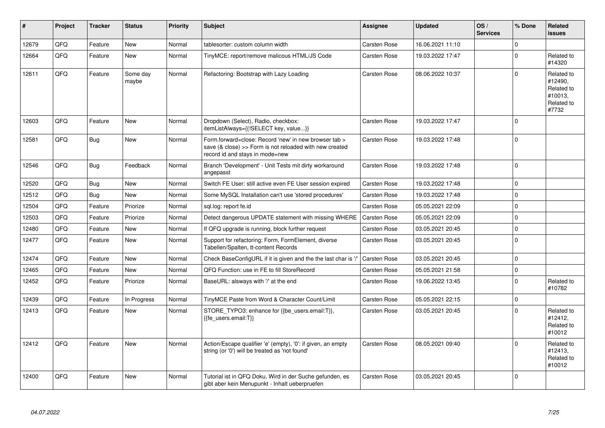| #     | Project | <b>Tracker</b> | <b>Status</b>     | <b>Priority</b> | <b>Subject</b>                                                                                                                                      | <b>Assignee</b>     | <b>Updated</b>   | OS/<br><b>Services</b> | % Done      | Related<br><b>issues</b>                                              |
|-------|---------|----------------|-------------------|-----------------|-----------------------------------------------------------------------------------------------------------------------------------------------------|---------------------|------------------|------------------------|-------------|-----------------------------------------------------------------------|
| 12679 | QFQ     | Feature        | <b>New</b>        | Normal          | tablesorter: custom column width                                                                                                                    | Carsten Rose        | 16.06.2021 11:10 |                        | $\mathbf 0$ |                                                                       |
| 12664 | QFQ     | Feature        | <b>New</b>        | Normal          | TinyMCE: report/remove malicous HTML/JS Code                                                                                                        | <b>Carsten Rose</b> | 19.03.2022 17:47 |                        | $\Omega$    | Related to<br>#14320                                                  |
| 12611 | QFQ     | Feature        | Some day<br>maybe | Normal          | Refactoring: Bootstrap with Lazy Loading                                                                                                            | Carsten Rose        | 08.06.2022 10:37 |                        | $\mathbf 0$ | Related to<br>#12490,<br>Related to<br>#10013,<br>Related to<br>#7732 |
| 12603 | QFQ     | Feature        | New               | Normal          | Dropdown (Select), Radio, checkbox:<br>itemListAlways={{!SELECT key, value}}                                                                        | <b>Carsten Rose</b> | 19.03.2022 17:47 |                        | $\pmb{0}$   |                                                                       |
| 12581 | QFQ     | Bug            | New               | Normal          | Form.forward=close: Record 'new' in new browser tab ><br>save (& close) >> Form is not reloaded with new created<br>record id and stays in mode=new | <b>Carsten Rose</b> | 19.03.2022 17:48 |                        | $\mathbf 0$ |                                                                       |
| 12546 | QFQ     | <b>Bug</b>     | Feedback          | Normal          | Branch 'Development' - Unit Tests mit dirty workaround<br>angepasst                                                                                 | <b>Carsten Rose</b> | 19.03.2022 17:48 |                        | $\mathbf 0$ |                                                                       |
| 12520 | QFQ     | <b>Bug</b>     | <b>New</b>        | Normal          | Switch FE User: still active even FE User session expired                                                                                           | <b>Carsten Rose</b> | 19.03.2022 17:48 |                        | $\Omega$    |                                                                       |
| 12512 | QFQ     | Bug            | New               | Normal          | Some MySQL Installation can't use 'stored procedures'                                                                                               | <b>Carsten Rose</b> | 19.03.2022 17:48 |                        | $\pmb{0}$   |                                                                       |
| 12504 | QFQ     | Feature        | Priorize          | Normal          | sql.log: report fe.id                                                                                                                               | <b>Carsten Rose</b> | 05.05.2021 22:09 |                        | $\mathbf 0$ |                                                                       |
| 12503 | QFQ     | Feature        | Priorize          | Normal          | Detect dangerous UPDATE statement with missing WHERE                                                                                                | <b>Carsten Rose</b> | 05.05.2021 22:09 |                        | $\mathbf 0$ |                                                                       |
| 12480 | QFQ     | Feature        | New               | Normal          | If QFQ upgrade is running, block further request                                                                                                    | Carsten Rose        | 03.05.2021 20:45 |                        | $\mathbf 0$ |                                                                       |
| 12477 | QFQ     | Feature        | New               | Normal          | Support for refactoring: Form, FormElement, diverse<br>Tabellen/Spalten, tt-content Records                                                         | Carsten Rose        | 03.05.2021 20:45 |                        | $\Omega$    |                                                                       |
| 12474 | QFQ     | Feature        | <b>New</b>        | Normal          | Check BaseConfigURL if it is given and the the last char is '/                                                                                      | Carsten Rose        | 03.05.2021 20:45 |                        | $\mathbf 0$ |                                                                       |
| 12465 | QFQ     | Feature        | <b>New</b>        | Normal          | QFQ Function: use in FE to fill StoreRecord                                                                                                         | Carsten Rose        | 05.05.2021 21:58 |                        | $\mathbf 0$ |                                                                       |
| 12452 | QFQ     | Feature        | Priorize          | Normal          | BaseURL: alsways with '/' at the end                                                                                                                | <b>Carsten Rose</b> | 19.06.2022 13:45 |                        | $\mathbf 0$ | Related to<br>#10782                                                  |
| 12439 | QFQ     | Feature        | In Progress       | Normal          | TinyMCE Paste from Word & Character Count/Limit                                                                                                     | <b>Carsten Rose</b> | 05.05.2021 22:15 |                        | $\mathbf 0$ |                                                                       |
| 12413 | QFQ     | Feature        | New               | Normal          | STORE TYPO3: enhance for {{be users.email:T}},<br>{{fe users.email:T}}                                                                              | Carsten Rose        | 03.05.2021 20:45 |                        | $\Omega$    | Related to<br>#12412,<br>Related to<br>#10012                         |
| 12412 | QFQ     | Feature        | <b>New</b>        | Normal          | Action/Escape qualifier 'e' (empty), '0': if given, an empty<br>string (or '0') will be treated as 'not found'                                      | Carsten Rose        | 08.05.2021 09:40 |                        | $\Omega$    | Related to<br>#12413,<br>Related to<br>#10012                         |
| 12400 | QFQ     | Feature        | New               | Normal          | Tutorial ist in QFQ Doku, Wird in der Suche gefunden, es<br>gibt aber kein Menupunkt - Inhalt ueberpruefen                                          | Carsten Rose        | 03.05.2021 20:45 |                        | $\mathbf 0$ |                                                                       |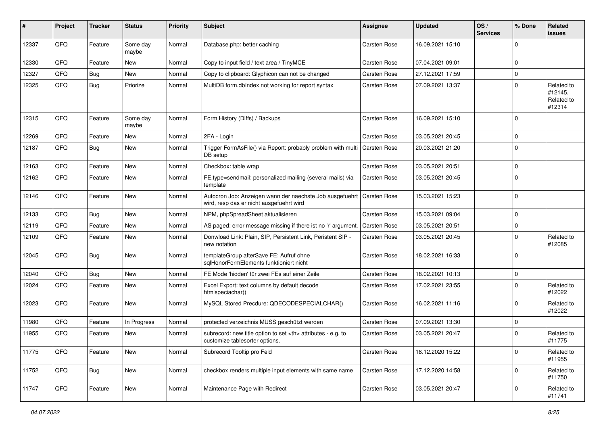| #     | Project | <b>Tracker</b> | <b>Status</b>     | <b>Priority</b> | <b>Subject</b>                                                                                                      | <b>Assignee</b>                                        | <b>Updated</b>   | OS/<br><b>Services</b> | % Done      | Related<br>issues                             |                      |
|-------|---------|----------------|-------------------|-----------------|---------------------------------------------------------------------------------------------------------------------|--------------------------------------------------------|------------------|------------------------|-------------|-----------------------------------------------|----------------------|
| 12337 | QFQ     | Feature        | Some day<br>maybe | Normal          | Database.php: better caching                                                                                        | Carsten Rose                                           | 16.09.2021 15:10 |                        | $\mathbf 0$ |                                               |                      |
| 12330 | QFQ     | Feature        | New               | Normal          | Copy to input field / text area / TinyMCE                                                                           | Carsten Rose                                           | 07.04.2021 09:01 |                        | $\Omega$    |                                               |                      |
| 12327 | QFQ     | Bug            | New               | Normal          | Copy to clipboard: Glyphicon can not be changed                                                                     | Carsten Rose                                           | 27.12.2021 17:59 |                        | $\mathbf 0$ |                                               |                      |
| 12325 | QFQ     | Bug            | Priorize          | Normal          | MultiDB form.dblndex not working for report syntax                                                                  | Carsten Rose                                           | 07.09.2021 13:37 |                        | $\mathbf 0$ | Related to<br>#12145,<br>Related to<br>#12314 |                      |
| 12315 | QFQ     | Feature        | Some day<br>maybe | Normal          | Form History (Diffs) / Backups                                                                                      | Carsten Rose                                           | 16.09.2021 15:10 |                        | $\Omega$    |                                               |                      |
| 12269 | QFQ     | Feature        | New               | Normal          | 2FA - Login                                                                                                         | Carsten Rose                                           | 03.05.2021 20:45 |                        | $\Omega$    |                                               |                      |
| 12187 | QFQ     | Bug            | New               | Normal          | Trigger FormAsFile() via Report: probably problem with multi<br>DB setup                                            | <b>Carsten Rose</b>                                    | 20.03.2021 21:20 |                        | $\Omega$    |                                               |                      |
| 12163 | QFQ     | Feature        | New               | Normal          | Checkbox: table wrap                                                                                                | Carsten Rose                                           | 03.05.2021 20:51 |                        | $\mathbf 0$ |                                               |                      |
| 12162 | QFQ     | Feature        | New               | Normal          | FE.type=sendmail: personalized mailing (several mails) via<br>template                                              | <b>Carsten Rose</b>                                    | 03.05.2021 20:45 |                        | $\Omega$    |                                               |                      |
| 12146 | QFQ     | Feature        | New               | Normal          | Autocron Job: Anzeigen wann der naechste Job ausgefuehrt   Carsten Rose<br>wird, resp das er nicht ausgefuehrt wird |                                                        | 15.03.2021 15:23 |                        | $\Omega$    |                                               |                      |
| 12133 | QFQ     | Bug            | New               | Normal          | NPM, phpSpreadSheet aktualisieren                                                                                   | Carsten Rose                                           | 15.03.2021 09:04 |                        | 0           |                                               |                      |
| 12119 | QFQ     | Feature        | <b>New</b>        | Normal          | AS paged: error message missing if there ist no 'r' argument.                                                       | <b>Carsten Rose</b>                                    | 03.05.2021 20:51 |                        | $\mathbf 0$ |                                               |                      |
| 12109 | QFQ     | Feature        | New               | Normal          | Donwload Link: Plain, SIP, Persistent Link, Peristent SIP -<br>new notation                                         | <b>Carsten Rose</b>                                    | 03.05.2021 20:45 |                        | $\mathbf 0$ | Related to<br>#12085                          |                      |
| 12045 | QFQ     | Bug            | New               | Normal          | templateGroup afterSave FE: Aufruf ohne<br>sqlHonorFormElements funktioniert nicht                                  | Carsten Rose                                           | 18.02.2021 16:33 |                        | $\Omega$    |                                               |                      |
| 12040 | QFQ     | Bug            | <b>New</b>        | Normal          | FE Mode 'hidden' für zwei FEs auf einer Zeile                                                                       | Carsten Rose                                           | 18.02.2021 10:13 |                        | 0           |                                               |                      |
| 12024 | QFQ     | Feature        | New               | Normal          | Excel Export: text columns by default decode<br>htmlspeciachar()                                                    | Carsten Rose                                           | 17.02.2021 23:55 |                        | 0           | Related to<br>#12022                          |                      |
| 12023 | QFQ     | Feature        | New               | Normal          | MySQL Stored Precdure: QDECODESPECIALCHAR()                                                                         | <b>Carsten Rose</b>                                    | 16.02.2021 11:16 |                        | $\Omega$    | Related to<br>#12022                          |                      |
| 11980 | QFQ     | Feature        | In Progress       | Normal          | protected verzeichnis MUSS geschützt werden                                                                         | Carsten Rose                                           | 07.09.2021 13:30 |                        | 0           |                                               |                      |
| 11955 | QFQ     | Feature        | New               | Normal          | subrecord: new title option to set <th> attributes - e.g. to<br/>customize tablesorter options.</th>                | attributes - e.g. to<br>customize tablesorter options. | Carsten Rose     | 03.05.2021 20:47       |             | $\Omega$                                      | Related to<br>#11775 |
| 11775 | QFQ     | Feature        | New               | Normal          | Subrecord Tooltip pro Feld                                                                                          | Carsten Rose                                           | 18.12.2020 15:22 |                        | 0           | Related to<br>#11955                          |                      |
| 11752 | QFQ     | Bug            | New               | Normal          | checkbox renders multiple input elements with same name                                                             | Carsten Rose                                           | 17.12.2020 14:58 |                        | 0           | Related to<br>#11750                          |                      |
| 11747 | QFQ     | Feature        | New               | Normal          | Maintenance Page with Redirect                                                                                      | Carsten Rose                                           | 03.05.2021 20:47 |                        | 0           | Related to<br>#11741                          |                      |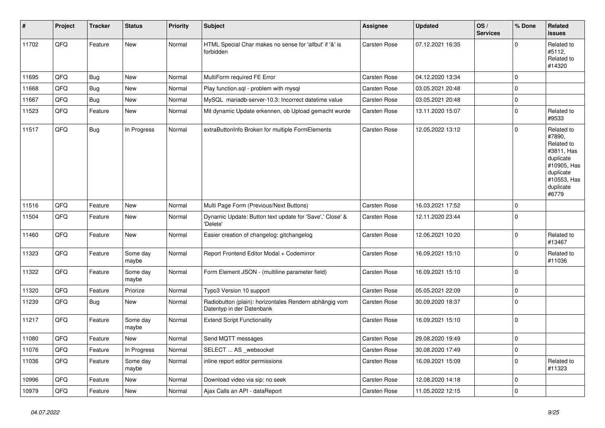| #     | Project | <b>Tracker</b> | <b>Status</b>     | <b>Priority</b> | <b>Subject</b>                                                                      | Assignee            | <b>Updated</b>   | OS/<br><b>Services</b> | % Done      | Related<br><b>issues</b>                                                                                                       |
|-------|---------|----------------|-------------------|-----------------|-------------------------------------------------------------------------------------|---------------------|------------------|------------------------|-------------|--------------------------------------------------------------------------------------------------------------------------------|
| 11702 | QFQ     | Feature        | <b>New</b>        | Normal          | HTML Special Char makes no sense for 'allbut' if '&' is<br>forbidden                | Carsten Rose        | 07.12.2021 16:35 |                        | $\Omega$    | Related to<br>#5112,<br>Related to<br>#14320                                                                                   |
| 11695 | QFQ     | <b>Bug</b>     | <b>New</b>        | Normal          | MultiForm required FE Error                                                         | Carsten Rose        | 04.12.2020 13:34 |                        | $\mathbf 0$ |                                                                                                                                |
| 11668 | QFQ     | Bug            | New               | Normal          | Play function.sql - problem with mysql                                              | Carsten Rose        | 03.05.2021 20:48 |                        | $\mathbf 0$ |                                                                                                                                |
| 11667 | QFQ     | Bug            | New               | Normal          | MySQL mariadb-server-10.3: Incorrect datetime value                                 | <b>Carsten Rose</b> | 03.05.2021 20:48 |                        | $\pmb{0}$   |                                                                                                                                |
| 11523 | QFQ     | Feature        | New               | Normal          | Mit dynamic Update erkennen, ob Upload gemacht wurde                                | Carsten Rose        | 13.11.2020 15:07 |                        | $\mathbf 0$ | Related to<br>#9533                                                                                                            |
| 11517 | QFQ     | Bug            | In Progress       | Normal          | extraButtonInfo Broken for multiple FormElements                                    | <b>Carsten Rose</b> | 12.05.2022 13:12 |                        | $\Omega$    | Related to<br>#7890,<br>Related to<br>#3811, Has<br>duplicate<br>#10905, Has<br>duplicate<br>#10553, Has<br>duplicate<br>#6779 |
| 11516 | QFQ     | Feature        | <b>New</b>        | Normal          | Multi Page Form (Previous/Next Buttons)                                             | Carsten Rose        | 16.03.2021 17:52 |                        | $\mathbf 0$ |                                                                                                                                |
| 11504 | QFQ     | Feature        | New               | Normal          | Dynamic Update: Button text update for 'Save',' Close' &<br>'Delete'                | Carsten Rose        | 12.11.2020 23:44 |                        | $\Omega$    |                                                                                                                                |
| 11460 | QFQ     | Feature        | New               | Normal          | Easier creation of changelog: gitchangelog                                          | Carsten Rose        | 12.06.2021 10:20 |                        | $\Omega$    | Related to<br>#13467                                                                                                           |
| 11323 | QFQ     | Feature        | Some day<br>maybe | Normal          | Report Frontend Editor Modal + Codemirror                                           | Carsten Rose        | 16.09.2021 15:10 |                        | $\mathbf 0$ | Related to<br>#11036                                                                                                           |
| 11322 | QFQ     | Feature        | Some day<br>maybe | Normal          | Form Element JSON - (multiline parameter field)                                     | Carsten Rose        | 16.09.2021 15:10 |                        | $\Omega$    |                                                                                                                                |
| 11320 | QFQ     | Feature        | Priorize          | Normal          | Typo3 Version 10 support                                                            | Carsten Rose        | 05.05.2021 22:09 |                        | $\pmb{0}$   |                                                                                                                                |
| 11239 | QFQ     | Bug            | <b>New</b>        | Normal          | Radiobutton (plain): horizontales Rendern abhängig vom<br>Datentyp in der Datenbank | <b>Carsten Rose</b> | 30.09.2020 18:37 |                        | $\mathbf 0$ |                                                                                                                                |
| 11217 | QFQ     | Feature        | Some day<br>maybe | Normal          | <b>Extend Script Functionality</b>                                                  | Carsten Rose        | 16.09.2021 15:10 |                        | $\mathbf 0$ |                                                                                                                                |
| 11080 | QFQ     | Feature        | <b>New</b>        | Normal          | Send MQTT messages                                                                  | Carsten Rose        | 29.08.2020 19:49 |                        | $\mathbf 0$ |                                                                                                                                |
| 11076 | QFQ     | Feature        | In Progress       | Normal          | SELECT  AS _websocket                                                               | Carsten Rose        | 30.08.2020 17:49 |                        | $\mathbf 0$ |                                                                                                                                |
| 11036 | QFQ     | Feature        | Some day<br>maybe | Normal          | inline report editor permissions                                                    | Carsten Rose        | 16.09.2021 15:09 |                        | $\mathbf 0$ | Related to<br>#11323                                                                                                           |
| 10996 | QFQ     | Feature        | <b>New</b>        | Normal          | Download video via sip: no seek                                                     | Carsten Rose        | 12.08.2020 14:18 |                        | $\mathbf 0$ |                                                                                                                                |
| 10979 | QFQ     | Feature        | New               | Normal          | Ajax Calls an API - dataReport                                                      | <b>Carsten Rose</b> | 11.05.2022 12:15 |                        | $\mathbf 0$ |                                                                                                                                |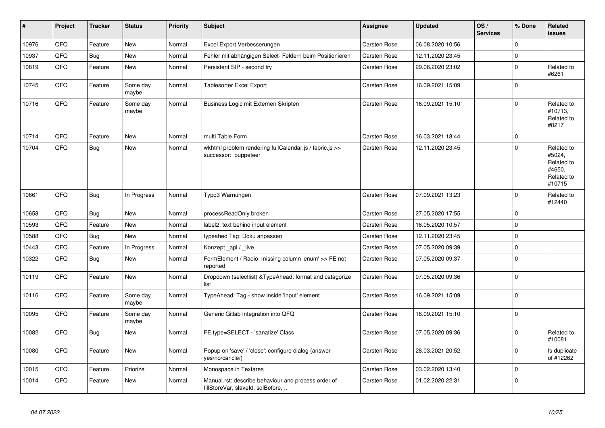| $\pmb{\sharp}$ | Project | <b>Tracker</b> | <b>Status</b>     | <b>Priority</b> | <b>Subject</b>                                                                           | <b>Assignee</b>     | <b>Updated</b>   | OS/<br><b>Services</b> | % Done         | Related<br><b>issues</b>                                             |
|----------------|---------|----------------|-------------------|-----------------|------------------------------------------------------------------------------------------|---------------------|------------------|------------------------|----------------|----------------------------------------------------------------------|
| 10976          | QFQ     | Feature        | <b>New</b>        | Normal          | Excel Export Verbesserungen                                                              | <b>Carsten Rose</b> | 06.08.2020 10:56 |                        | $\Omega$       |                                                                      |
| 10937          | QFQ     | <b>Bug</b>     | New               | Normal          | Fehler mit abhängigen Select- Feldern beim Positionieren                                 | <b>Carsten Rose</b> | 12.11.2020 23:45 |                        | $\mathbf 0$    |                                                                      |
| 10819          | QFQ     | Feature        | New               | Normal          | Persistent SIP - second try                                                              | <b>Carsten Rose</b> | 29.06.2020 23:02 |                        | 0              | Related to<br>#6261                                                  |
| 10745          | QFQ     | Feature        | Some day<br>maybe | Normal          | Tablesorter Excel Export                                                                 | <b>Carsten Rose</b> | 16.09.2021 15:09 |                        | 0              |                                                                      |
| 10716          | QFQ     | Feature        | Some day<br>maybe | Normal          | Business Logic mit Externen Skripten                                                     | Carsten Rose        | 16.09.2021 15:10 |                        | $\Omega$       | Related to<br>#10713,<br>Related to<br>#8217                         |
| 10714          | QFQ     | Feature        | <b>New</b>        | Normal          | multi Table Form                                                                         | Carsten Rose        | 16.03.2021 18:44 |                        | 0              |                                                                      |
| 10704          | QFQ     | Bug            | New               | Normal          | wkhtml problem rendering fullCalendar.js / fabric.js >><br>successor: puppeteer          | <b>Carsten Rose</b> | 12.11.2020 23:45 |                        | $\Omega$       | Related to<br>#5024,<br>Related to<br>#4650,<br>Related to<br>#10715 |
| 10661          | QFQ     | <b>Bug</b>     | In Progress       | Normal          | Typo3 Warnungen                                                                          | <b>Carsten Rose</b> | 07.09.2021 13:23 |                        | 0              | Related to<br>#12440                                                 |
| 10658          | QFQ     | Bug            | New               | Normal          | processReadOnly broken                                                                   | Carsten Rose        | 27.05.2020 17:55 |                        | $\Omega$       |                                                                      |
| 10593          | QFQ     | Feature        | New               | Normal          | label2: text behind input element                                                        | Carsten Rose        | 16.05.2020 10:57 |                        | $\overline{0}$ |                                                                      |
| 10588          | QFQ     | <b>Bug</b>     | New               | Normal          | typeahed Tag: Doku anpassen                                                              | Carsten Rose        | 12.11.2020 23:45 |                        | $\overline{0}$ |                                                                      |
| 10443          | QFQ     | Feature        | In Progress       | Normal          | Konzept_api / _live                                                                      | Carsten Rose        | 07.05.2020 09:39 |                        | 0              |                                                                      |
| 10322          | QFQ     | <b>Bug</b>     | New               | Normal          | FormElement / Radio: missing column 'enum' >> FE not<br>reported                         | Carsten Rose        | 07.05.2020 09:37 |                        | $\Omega$       |                                                                      |
| 10119          | QFQ     | Feature        | New               | Normal          | Dropdown (selectlist) & TypeAhead: format and catagorize<br>list                         | <b>Carsten Rose</b> | 07.05.2020 09:36 |                        | $\Omega$       |                                                                      |
| 10116          | QFQ     | Feature        | Some day<br>maybe | Normal          | TypeAhead: Tag - show inside 'input' element                                             | Carsten Rose        | 16.09.2021 15:09 |                        | $\Omega$       |                                                                      |
| 10095          | QFQ     | Feature        | Some day<br>maybe | Normal          | Generic Gitlab Integration into QFQ                                                      | Carsten Rose        | 16.09.2021 15:10 |                        | $\Omega$       |                                                                      |
| 10082          | QFQ     | Bug            | New               | Normal          | FE.type=SELECT - 'sanatize' Class                                                        | Carsten Rose        | 07.05.2020 09:36 |                        | 0              | Related to<br>#10081                                                 |
| 10080          | QFQ     | Feature        | New               | Normal          | Popup on 'save' / 'close': configure dialog (answer<br>yes/no/cancle/)                   | Carsten Rose        | 28.03.2021 20:52 |                        | $\Omega$       | Is duplicate<br>of #12262                                            |
| 10015          | QFQ     | Feature        | Priorize          | Normal          | Monospace in Textarea                                                                    | <b>Carsten Rose</b> | 03.02.2020 13:40 |                        | $\Omega$       |                                                                      |
| 10014          | QFQ     | Feature        | New               | Normal          | Manual.rst: describe behaviour and process order of<br>fillStoreVar, slaveId, sqlBefore, | <b>Carsten Rose</b> | 01.02.2020 22:31 |                        | $\Omega$       |                                                                      |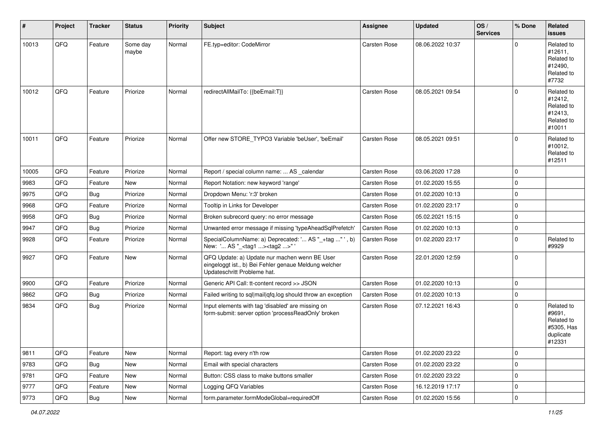| $\vert$ # | Project | <b>Tracker</b> | <b>Status</b>     | <b>Priority</b> | <b>Subject</b>                                                                                                                        | <b>Assignee</b> | <b>Updated</b>   | OS/<br><b>Services</b> | % Done      | Related<br><b>issues</b>                                                |
|-----------|---------|----------------|-------------------|-----------------|---------------------------------------------------------------------------------------------------------------------------------------|-----------------|------------------|------------------------|-------------|-------------------------------------------------------------------------|
| 10013     | QFQ     | Feature        | Some day<br>maybe | Normal          | FE.typ=editor: CodeMirror                                                                                                             | Carsten Rose    | 08.06.2022 10:37 |                        | $\Omega$    | Related to<br>#12611,<br>Related to<br>#12490,<br>Related to<br>#7732   |
| 10012     | QFQ     | Feature        | Priorize          | Normal          | redirectAllMailTo: {{beEmail:T}}                                                                                                      | Carsten Rose    | 08.05.2021 09:54 |                        | $\Omega$    | Related to<br>#12412,<br>Related to<br>#12413,<br>Related to<br>#10011  |
| 10011     | QFQ     | Feature        | Priorize          | Normal          | Offer new STORE_TYPO3 Variable 'beUser', 'beEmail'                                                                                    | Carsten Rose    | 08.05.2021 09:51 |                        | $\Omega$    | Related to<br>#10012,<br>Related to<br>#12511                           |
| 10005     | QFQ     | Feature        | Priorize          | Normal          | Report / special column name:  AS _calendar                                                                                           | Carsten Rose    | 03.06.2020 17:28 |                        | $\mathbf 0$ |                                                                         |
| 9983      | QFQ     | Feature        | New               | Normal          | Report Notation: new keyword 'range'                                                                                                  | Carsten Rose    | 01.02.2020 15:55 |                        | $\mathbf 0$ |                                                                         |
| 9975      | QFQ     | <b>Bug</b>     | Priorize          | Normal          | Dropdown Menu: 'r:3' broken                                                                                                           | Carsten Rose    | 01.02.2020 10:13 |                        | 0           |                                                                         |
| 9968      | QFQ     | Feature        | Priorize          | Normal          | Tooltip in Links for Developer                                                                                                        | Carsten Rose    | 01.02.2020 23:17 |                        | $\mathbf 0$ |                                                                         |
| 9958      | QFQ     | <b>Bug</b>     | Priorize          | Normal          | Broken subrecord query: no error message                                                                                              | Carsten Rose    | 05.02.2021 15:15 |                        | $\mathbf 0$ |                                                                         |
| 9947      | QFQ     | <b>Bug</b>     | Priorize          | Normal          | Unwanted error message if missing 'typeAheadSqlPrefetch'                                                                              | Carsten Rose    | 01.02.2020 10:13 |                        | $\mathbf 0$ |                                                                         |
| 9928      | QFQ     | Feature        | Priorize          | Normal          | SpecialColumnName: a) Deprecated: ' AS "_+tag " ', b)<br>New: ' AS "_ <tag1><tag2>"'</tag2></tag1>                                    | Carsten Rose    | 01.02.2020 23:17 |                        | $\mathbf 0$ | Related to<br>#9929                                                     |
| 9927      | QFQ     | Feature        | New               | Normal          | QFQ Update: a) Update nur machen wenn BE User<br>eingeloggt ist., b) Bei Fehler genaue Meldung welcher<br>Updateschritt Probleme hat. | Carsten Rose    | 22.01.2020 12:59 |                        | $\Omega$    |                                                                         |
| 9900      | QFQ     | Feature        | Priorize          | Normal          | Generic API Call: tt-content record >> JSON                                                                                           | Carsten Rose    | 01.02.2020 10:13 |                        | $\Omega$    |                                                                         |
| 9862      | QFQ     | <b>Bug</b>     | Priorize          | Normal          | Failed writing to sql mail qfq.log should throw an exception                                                                          | Carsten Rose    | 01.02.2020 10:13 |                        | $\mathbf 0$ |                                                                         |
| 9834      | QFQ     | <b>Bug</b>     | Priorize          | Normal          | Input elements with tag 'disabled' are missing on<br>form-submit: server option 'processReadOnly' broken                              | Carsten Rose    | 07.12.2021 16:43 |                        | $\Omega$    | Related to<br>#9691,<br>Related to<br>#5305, Has<br>duplicate<br>#12331 |
| 9811      | QFQ     | Feature        | New               | Normal          | Report: tag every n'th row                                                                                                            | Carsten Rose    | 01.02.2020 23:22 |                        | $\mathbf 0$ |                                                                         |
| 9783      | QFQ     | <b>Bug</b>     | New               | Normal          | Email with special characters                                                                                                         | Carsten Rose    | 01.02.2020 23:22 |                        | $\mathbf 0$ |                                                                         |
| 9781      | QFQ     | Feature        | New               | Normal          | Button: CSS class to make buttons smaller                                                                                             | Carsten Rose    | 01.02.2020 23:22 |                        | $\mathbf 0$ |                                                                         |
| 9777      | QFQ     | Feature        | New               | Normal          | Logging QFQ Variables                                                                                                                 | Carsten Rose    | 16.12.2019 17:17 |                        | 0           |                                                                         |
| 9773      | QFQ     | Bug            | New               | Normal          | form.parameter.formModeGlobal=requiredOff                                                                                             | Carsten Rose    | 01.02.2020 15:56 |                        | $\mathbf 0$ |                                                                         |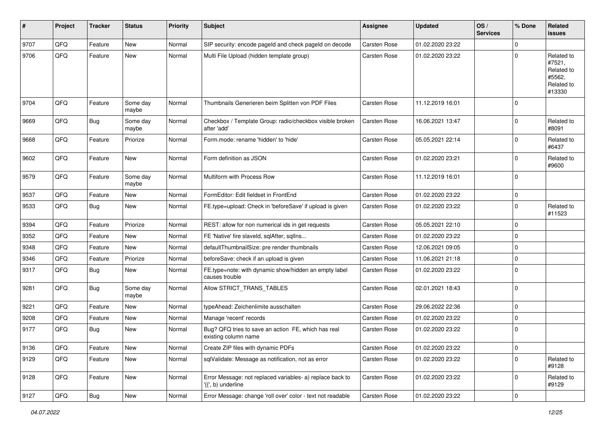| #    | Project | <b>Tracker</b> | <b>Status</b>     | <b>Priority</b> | <b>Subject</b>                                                                  | <b>Assignee</b>     | <b>Updated</b>   | OS/<br><b>Services</b> | % Done      | Related<br><b>issues</b>                                             |
|------|---------|----------------|-------------------|-----------------|---------------------------------------------------------------------------------|---------------------|------------------|------------------------|-------------|----------------------------------------------------------------------|
| 9707 | QFQ     | Feature        | <b>New</b>        | Normal          | SIP security: encode pageld and check pageld on decode                          | <b>Carsten Rose</b> | 01.02.2020 23:22 |                        | $\Omega$    |                                                                      |
| 9706 | QFQ     | Feature        | New               | Normal          | Multi File Upload (hidden template group)                                       | Carsten Rose        | 01.02.2020 23:22 |                        | $\Omega$    | Related to<br>#7521,<br>Related to<br>#5562,<br>Related to<br>#13330 |
| 9704 | QFQ     | Feature        | Some day<br>maybe | Normal          | Thumbnails Generieren beim Splitten von PDF Files                               | Carsten Rose        | 11.12.2019 16:01 |                        | $\Omega$    |                                                                      |
| 9669 | QFQ     | <b>Bug</b>     | Some day<br>maybe | Normal          | Checkbox / Template Group: radio/checkbox visible broken<br>after 'add'         | Carsten Rose        | 16.06.2021 13:47 |                        | $\Omega$    | Related to<br>#8091                                                  |
| 9668 | QFQ     | Feature        | Priorize          | Normal          | Form.mode: rename 'hidden' to 'hide'                                            | Carsten Rose        | 05.05.2021 22:14 |                        | $\Omega$    | Related to<br>#6437                                                  |
| 9602 | QFQ     | Feature        | <b>New</b>        | Normal          | Form definition as JSON                                                         | Carsten Rose        | 01.02.2020 23:21 |                        | $\Omega$    | Related to<br>#9600                                                  |
| 9579 | QFQ     | Feature        | Some day<br>maybe | Normal          | Multiform with Process Row                                                      | Carsten Rose        | 11.12.2019 16:01 |                        | $\mathbf 0$ |                                                                      |
| 9537 | QFQ     | Feature        | New               | Normal          | FormEditor: Edit fieldset in FrontEnd                                           | Carsten Rose        | 01.02.2020 23:22 |                        | $\pmb{0}$   |                                                                      |
| 9533 | QFQ     | <b>Bug</b>     | New               | Normal          | FE.type=upload: Check in 'beforeSave' if upload is given                        | Carsten Rose        | 01.02.2020 23:22 |                        | $\Omega$    | Related to<br>#11523                                                 |
| 9394 | QFQ     | Feature        | Priorize          | Normal          | REST: allow for non numerical ids in get requests                               | Carsten Rose        | 05.05.2021 22:10 |                        | $\mathbf 0$ |                                                                      |
| 9352 | QFQ     | Feature        | New               | Normal          | FE 'Native' fire slaveld, sqlAfter, sqlIns                                      | Carsten Rose        | 01.02.2020 23:22 |                        | $\Omega$    |                                                                      |
| 9348 | QFQ     | Feature        | <b>New</b>        | Normal          | defaultThumbnailSize: pre render thumbnails                                     | Carsten Rose        | 12.06.2021 09:05 |                        | $\Omega$    |                                                                      |
| 9346 | QFQ     | Feature        | Priorize          | Normal          | beforeSave: check if an upload is given                                         | Carsten Rose        | 11.06.2021 21:18 |                        | 0           |                                                                      |
| 9317 | QFQ     | <b>Bug</b>     | New               | Normal          | FE.type=note: with dynamic show/hidden an empty label<br>causes trouble         | Carsten Rose        | 01.02.2020 23:22 |                        | $\mathbf 0$ |                                                                      |
| 9281 | QFQ     | Bug            | Some day<br>maybe | Normal          | Allow STRICT_TRANS_TABLES                                                       | Carsten Rose        | 02.01.2021 18:43 |                        | $\Omega$    |                                                                      |
| 9221 | QFQ     | Feature        | <b>New</b>        | Normal          | typeAhead: Zeichenlimite ausschalten                                            | Carsten Rose        | 29.06.2022 22:36 |                        | 0           |                                                                      |
| 9208 | QFQ     | Feature        | New               | Normal          | Manage 'recent' records                                                         | Carsten Rose        | 01.02.2020 23:22 |                        | $\Omega$    |                                                                      |
| 9177 | QFQ     | <b>Bug</b>     | <b>New</b>        | Normal          | Bug? QFQ tries to save an action FE, which has real<br>existing column name     | Carsten Rose        | 01.02.2020 23:22 |                        | 0           |                                                                      |
| 9136 | QFG     | Feature        | New               | Normal          | Create ZIP files with dynamic PDFs                                              | Carsten Rose        | 01.02.2020 23:22 |                        | $\mathbf 0$ |                                                                      |
| 9129 | QFQ     | Feature        | New               | Normal          | sqlValidate: Message as notification, not as error                              | Carsten Rose        | 01.02.2020 23:22 |                        | $\Omega$    | Related to<br>#9128                                                  |
| 9128 | QFQ     | Feature        | New               | Normal          | Error Message: not replaced variables- a) replace back to<br>'{{', b) underline | Carsten Rose        | 01.02.2020 23:22 |                        | $\mathbf 0$ | Related to<br>#9129                                                  |
| 9127 | QFG     | Bug            | New               | Normal          | Error Message: change 'roll over' color - text not readable                     | Carsten Rose        | 01.02.2020 23:22 |                        | $\pmb{0}$   |                                                                      |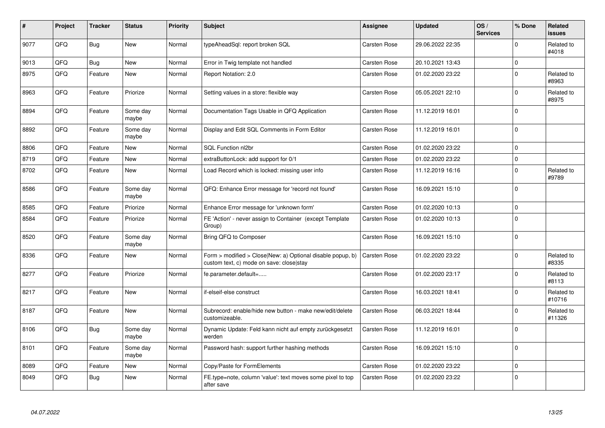| #    | Project | <b>Tracker</b> | <b>Status</b>     | <b>Priority</b> | <b>Subject</b>                                                                                         | <b>Assignee</b>     | <b>Updated</b>   | OS/<br><b>Services</b> | % Done      | Related<br><b>issues</b> |
|------|---------|----------------|-------------------|-----------------|--------------------------------------------------------------------------------------------------------|---------------------|------------------|------------------------|-------------|--------------------------|
| 9077 | QFQ     | <b>Bug</b>     | <b>New</b>        | Normal          | typeAheadSql: report broken SQL                                                                        | <b>Carsten Rose</b> | 29.06.2022 22:35 |                        | $\Omega$    | Related to<br>#4018      |
| 9013 | QFQ     | Bug            | New               | Normal          | Error in Twig template not handled                                                                     | Carsten Rose        | 20.10.2021 13:43 |                        | $\mathbf 0$ |                          |
| 8975 | QFQ     | Feature        | <b>New</b>        | Normal          | Report Notation: 2.0                                                                                   | Carsten Rose        | 01.02.2020 23:22 |                        | $\Omega$    | Related to<br>#8963      |
| 8963 | QFQ     | Feature        | Priorize          | Normal          | Setting values in a store: flexible way                                                                | Carsten Rose        | 05.05.2021 22:10 |                        | $\mathbf 0$ | Related to<br>#8975      |
| 8894 | QFQ     | Feature        | Some day<br>maybe | Normal          | Documentation Tags Usable in QFQ Application                                                           | Carsten Rose        | 11.12.2019 16:01 |                        | $\Omega$    |                          |
| 8892 | QFQ     | Feature        | Some day<br>maybe | Normal          | Display and Edit SQL Comments in Form Editor                                                           | <b>Carsten Rose</b> | 11.12.2019 16:01 |                        | $\mathbf 0$ |                          |
| 8806 | QFQ     | Feature        | <b>New</b>        | Normal          | SQL Function nl2br                                                                                     | Carsten Rose        | 01.02.2020 23:22 |                        | $\Omega$    |                          |
| 8719 | QFQ     | Feature        | <b>New</b>        | Normal          | extraButtonLock: add support for 0/1                                                                   | Carsten Rose        | 01.02.2020 23:22 |                        | $\pmb{0}$   |                          |
| 8702 | QFQ     | Feature        | <b>New</b>        | Normal          | Load Record which is locked: missing user info                                                         | <b>Carsten Rose</b> | 11.12.2019 16:16 |                        | $\mathbf 0$ | Related to<br>#9789      |
| 8586 | QFQ     | Feature        | Some day<br>maybe | Normal          | QFQ: Enhance Error message for 'record not found'                                                      | Carsten Rose        | 16.09.2021 15:10 |                        | $\Omega$    |                          |
| 8585 | QFQ     | Feature        | Priorize          | Normal          | Enhance Error message for 'unknown form'                                                               | Carsten Rose        | 01.02.2020 10:13 |                        | $\Omega$    |                          |
| 8584 | QFQ     | Feature        | Priorize          | Normal          | FE 'Action' - never assign to Container (except Template<br>Group)                                     | Carsten Rose        | 01.02.2020 10:13 |                        | $\mathbf 0$ |                          |
| 8520 | QFQ     | Feature        | Some day<br>maybe | Normal          | Bring QFQ to Composer                                                                                  | <b>Carsten Rose</b> | 16.09.2021 15:10 |                        | $\mathbf 0$ |                          |
| 8336 | QFQ     | Feature        | <b>New</b>        | Normal          | Form > modified > Close New: a) Optional disable popup, b)<br>custom text, c) mode on save: close stay | Carsten Rose        | 01.02.2020 23:22 |                        | $\mathbf 0$ | Related to<br>#8335      |
| 8277 | QFQ     | Feature        | Priorize          | Normal          | fe.parameter.default=                                                                                  | Carsten Rose        | 01.02.2020 23:17 |                        | $\mathbf 0$ | Related to<br>#8113      |
| 8217 | QFQ     | Feature        | <b>New</b>        | Normal          | if-elseif-else construct                                                                               | Carsten Rose        | 16.03.2021 18:41 |                        | $\Omega$    | Related to<br>#10716     |
| 8187 | QFQ     | Feature        | <b>New</b>        | Normal          | Subrecord: enable/hide new button - make new/edit/delete<br>customizeable.                             | <b>Carsten Rose</b> | 06.03.2021 18:44 |                        | $\mathbf 0$ | Related to<br>#11326     |
| 8106 | QFQ     | <b>Bug</b>     | Some day<br>maybe | Normal          | Dynamic Update: Feld kann nicht auf empty zurückgesetzt<br>werden                                      | <b>Carsten Rose</b> | 11.12.2019 16:01 |                        | $\Omega$    |                          |
| 8101 | QFQ     | Feature        | Some day<br>maybe | Normal          | Password hash: support further hashing methods                                                         | Carsten Rose        | 16.09.2021 15:10 |                        | $\mathbf 0$ |                          |
| 8089 | QFQ     | Feature        | <b>New</b>        | Normal          | Copy/Paste for FormElements                                                                            | <b>Carsten Rose</b> | 01.02.2020 23:22 |                        | $\mathbf 0$ |                          |
| 8049 | QFQ     | <b>Bug</b>     | New               | Normal          | FE.type=note, column 'value': text moves some pixel to top<br>after save                               | <b>Carsten Rose</b> | 01.02.2020 23:22 |                        | $\pmb{0}$   |                          |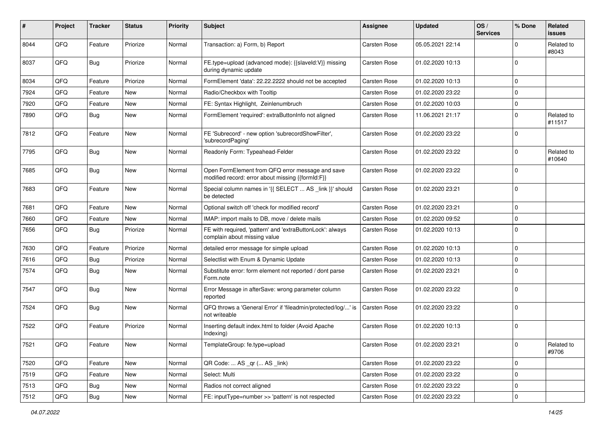| ∦    | Project | <b>Tracker</b> | <b>Status</b> | <b>Priority</b> | Subject                                                                                               | Assignee     | <b>Updated</b>   | OS/<br><b>Services</b> | % Done      | Related<br><b>issues</b> |
|------|---------|----------------|---------------|-----------------|-------------------------------------------------------------------------------------------------------|--------------|------------------|------------------------|-------------|--------------------------|
| 8044 | QFQ     | Feature        | Priorize      | Normal          | Transaction: a) Form, b) Report                                                                       | Carsten Rose | 05.05.2021 22:14 |                        | $\Omega$    | Related to<br>#8043      |
| 8037 | QFQ     | Bug            | Priorize      | Normal          | FE.type=upload (advanced mode): {{slaveld:V}} missing<br>during dynamic update                        | Carsten Rose | 01.02.2020 10:13 |                        | $\Omega$    |                          |
| 8034 | QFQ     | Feature        | Priorize      | Normal          | FormElement 'data': 22.22.2222 should not be accepted                                                 | Carsten Rose | 01.02.2020 10:13 |                        | $\mathbf 0$ |                          |
| 7924 | QFQ     | Feature        | New           | Normal          | Radio/Checkbox with Tooltip                                                                           | Carsten Rose | 01.02.2020 23:22 |                        | $\mathbf 0$ |                          |
| 7920 | QFQ     | Feature        | New           | Normal          | FE: Syntax Highlight, Zeinlenumbruch                                                                  | Carsten Rose | 01.02.2020 10:03 |                        | $\mathbf 0$ |                          |
| 7890 | QFQ     | <b>Bug</b>     | New           | Normal          | FormElement 'required': extraButtonInfo not aligned                                                   | Carsten Rose | 11.06.2021 21:17 |                        | $\mathbf 0$ | Related to<br>#11517     |
| 7812 | QFQ     | Feature        | <b>New</b>    | Normal          | FE 'Subrecord' - new option 'subrecordShowFilter',<br>'subrecordPaging'                               | Carsten Rose | 01.02.2020 23:22 |                        | $\mathbf 0$ |                          |
| 7795 | QFQ     | <b>Bug</b>     | <b>New</b>    | Normal          | Readonly Form: Typeahead-Felder                                                                       | Carsten Rose | 01.02.2020 23:22 |                        | $\mathbf 0$ | Related to<br>#10640     |
| 7685 | QFQ     | Bug            | <b>New</b>    | Normal          | Open FormElement from QFQ error message and save<br>modified record: error about missing {{formId:F}} | Carsten Rose | 01.02.2020 23:22 |                        | $\Omega$    |                          |
| 7683 | QFQ     | Feature        | <b>New</b>    | Normal          | Special column names in '{{ SELECT  AS _link }}' should<br>be detected                                | Carsten Rose | 01.02.2020 23:21 |                        | $\mathbf 0$ |                          |
| 7681 | QFQ     | Feature        | <b>New</b>    | Normal          | Optional switch off 'check for modified record'                                                       | Carsten Rose | 01.02.2020 23:21 |                        | $\mathbf 0$ |                          |
| 7660 | QFQ     | Feature        | New           | Normal          | IMAP: import mails to DB, move / delete mails                                                         | Carsten Rose | 01.02.2020 09:52 |                        | $\mathbf 0$ |                          |
| 7656 | QFQ     | <b>Bug</b>     | Priorize      | Normal          | FE with required, 'pattern' and 'extraButtonLock': always<br>complain about missing value             | Carsten Rose | 01.02.2020 10:13 |                        | $\mathbf 0$ |                          |
| 7630 | QFQ     | Feature        | Priorize      | Normal          | detailed error message for simple upload                                                              | Carsten Rose | 01.02.2020 10:13 |                        | $\Omega$    |                          |
| 7616 | QFQ     | <b>Bug</b>     | Priorize      | Normal          | Selectlist with Enum & Dynamic Update                                                                 | Carsten Rose | 01.02.2020 10:13 |                        | $\mathbf 0$ |                          |
| 7574 | QFQ     | <b>Bug</b>     | New           | Normal          | Substitute error: form element not reported / dont parse<br>Form.note                                 | Carsten Rose | 01.02.2020 23:21 |                        | $\Omega$    |                          |
| 7547 | QFQ     | <b>Bug</b>     | <b>New</b>    | Normal          | Error Message in afterSave: wrong parameter column<br>reported                                        | Carsten Rose | 01.02.2020 23:22 |                        | $\mathbf 0$ |                          |
| 7524 | QFQ     | Bug            | <b>New</b>    | Normal          | QFQ throws a 'General Error' if 'fileadmin/protected/log/' is<br>not writeable                        | Carsten Rose | 01.02.2020 23:22 |                        | $\Omega$    |                          |
| 7522 | QFQ     | Feature        | Priorize      | Normal          | Inserting default index.html to folder (Avoid Apache<br>Indexing)                                     | Carsten Rose | 01.02.2020 10:13 |                        | $\mathbf 0$ |                          |
| 7521 | QFQ     | Feature        | New           | Normal          | TemplateGroup: fe.type=upload                                                                         | Carsten Rose | 01.02.2020 23:21 |                        | $\mathbf 0$ | Related to<br>#9706      |
| 7520 | QFQ     | Feature        | New           | Normal          | QR Code:  AS _qr ( AS _link)                                                                          | Carsten Rose | 01.02.2020 23:22 |                        | $\mathbf 0$ |                          |
| 7519 | QFQ     | Feature        | New           | Normal          | Select: Multi                                                                                         | Carsten Rose | 01.02.2020 23:22 |                        | $\mathbf 0$ |                          |
| 7513 | QFQ     | <b>Bug</b>     | New           | Normal          | Radios not correct aligned                                                                            | Carsten Rose | 01.02.2020 23:22 |                        | $\mathbf 0$ |                          |
| 7512 | QFQ     | <b>Bug</b>     | New           | Normal          | FE: inputType=number >> 'pattern' is not respected                                                    | Carsten Rose | 01.02.2020 23:22 |                        | $\mathbf 0$ |                          |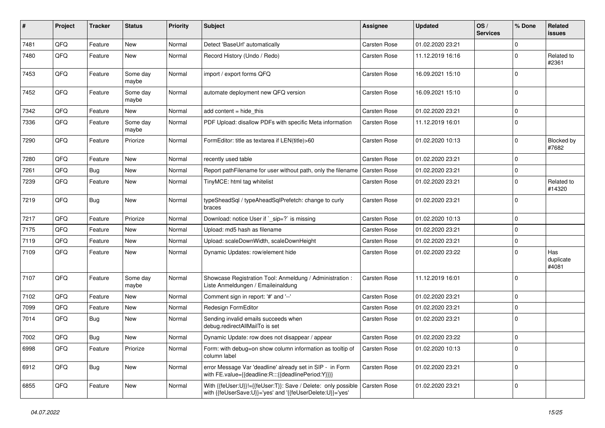| #    | Project | <b>Tracker</b> | <b>Status</b>     | <b>Priority</b> | <b>Subject</b>                                                                                                               | Assignee     | <b>Updated</b>   | OS/<br><b>Services</b> | % Done      | Related<br>issues         |
|------|---------|----------------|-------------------|-----------------|------------------------------------------------------------------------------------------------------------------------------|--------------|------------------|------------------------|-------------|---------------------------|
| 7481 | QFQ     | Feature        | New               | Normal          | Detect 'BaseUrl' automatically                                                                                               | Carsten Rose | 01.02.2020 23:21 |                        | $\Omega$    |                           |
| 7480 | QFQ     | Feature        | New               | Normal          | Record History (Undo / Redo)                                                                                                 | Carsten Rose | 11.12.2019 16:16 |                        | $\mathbf 0$ | Related to<br>#2361       |
| 7453 | QFQ     | Feature        | Some day<br>maybe | Normal          | import / export forms QFQ                                                                                                    | Carsten Rose | 16.09.2021 15:10 |                        | $\mathbf 0$ |                           |
| 7452 | QFQ     | Feature        | Some day<br>maybe | Normal          | automate deployment new QFQ version                                                                                          | Carsten Rose | 16.09.2021 15:10 |                        | $\mathbf 0$ |                           |
| 7342 | QFQ     | Feature        | New               | Normal          | add content = hide_this                                                                                                      | Carsten Rose | 01.02.2020 23:21 |                        | $\mathbf 0$ |                           |
| 7336 | QFQ     | Feature        | Some day<br>maybe | Normal          | PDF Upload: disallow PDFs with specific Meta information                                                                     | Carsten Rose | 11.12.2019 16:01 |                        | $\mathbf 0$ |                           |
| 7290 | QFQ     | Feature        | Priorize          | Normal          | FormEditor: title as textarea if LEN(title)>60                                                                               | Carsten Rose | 01.02.2020 10:13 |                        | $\mathbf 0$ | Blocked by<br>#7682       |
| 7280 | QFQ     | Feature        | New               | Normal          | recently used table                                                                                                          | Carsten Rose | 01.02.2020 23:21 |                        | $\mathbf 0$ |                           |
| 7261 | QFQ     | <b>Bug</b>     | <b>New</b>        | Normal          | Report pathFilename for user without path, only the filename                                                                 | Carsten Rose | 01.02.2020 23:21 |                        | $\mathbf 0$ |                           |
| 7239 | QFQ     | Feature        | <b>New</b>        | Normal          | TinyMCE: html tag whitelist                                                                                                  | Carsten Rose | 01.02.2020 23:21 |                        | $\mathbf 0$ | Related to<br>#14320      |
| 7219 | QFQ     | Bug            | <b>New</b>        | Normal          | typeSheadSql / typeAheadSqlPrefetch: change to curly<br>braces                                                               | Carsten Rose | 01.02.2020 23:21 |                        | $\mathbf 0$ |                           |
| 7217 | QFQ     | Feature        | Priorize          | Normal          | Download: notice User if `_sip=?` is missing                                                                                 | Carsten Rose | 01.02.2020 10:13 |                        | $\mathbf 0$ |                           |
| 7175 | QFQ     | Feature        | <b>New</b>        | Normal          | Upload: md5 hash as filename                                                                                                 | Carsten Rose | 01.02.2020 23:21 |                        | $\mathbf 0$ |                           |
| 7119 | QFQ     | Feature        | New               | Normal          | Upload: scaleDownWidth, scaleDownHeight                                                                                      | Carsten Rose | 01.02.2020 23:21 |                        | $\mathbf 0$ |                           |
| 7109 | QFQ     | Feature        | New               | Normal          | Dynamic Updates: row/element hide                                                                                            | Carsten Rose | 01.02.2020 23:22 |                        | $\mathbf 0$ | Has<br>duplicate<br>#4081 |
| 7107 | QFQ     | Feature        | Some day<br>maybe | Normal          | Showcase Registration Tool: Anmeldung / Administration :<br>Liste Anmeldungen / Emaileinaldung                               | Carsten Rose | 11.12.2019 16:01 |                        | $\mathbf 0$ |                           |
| 7102 | QFQ     | Feature        | New               | Normal          | Comment sign in report: '#' and '--'                                                                                         | Carsten Rose | 01.02.2020 23:21 |                        | $\mathbf 0$ |                           |
| 7099 | QFQ     | Feature        | <b>New</b>        | Normal          | Redesign FormEditor                                                                                                          | Carsten Rose | 01.02.2020 23:21 |                        | $\mathbf 0$ |                           |
| 7014 | QFQ     | <b>Bug</b>     | New               | Normal          | Sending invalid emails succeeds when<br>debug.redirectAllMailTo is set                                                       | Carsten Rose | 01.02.2020 23:21 |                        | $\mathbf 0$ |                           |
| 7002 | QFQ     | <b>Bug</b>     | New               | Normal          | Dynamic Update: row does not disappear / appear                                                                              | Carsten Rose | 01.02.2020 23:22 |                        | $\mathbf 0$ |                           |
| 6998 | QFQ     | Feature        | Priorize          | Normal          | Form: with debug=on show column information as tooltip of<br>column label                                                    | Carsten Rose | 01.02.2020 10:13 |                        | $\pmb{0}$   |                           |
| 6912 | QFQ     | <b>Bug</b>     | New               | Normal          | error Message Var 'deadline' already set in SIP - in Form<br>with FE.value={{deadline:R:::{{deadlinePeriod:Y}}}}             | Carsten Rose | 01.02.2020 23:21 |                        | $\mathbf 0$ |                           |
| 6855 | QFQ     | Feature        | New               | Normal          | With {{feUser:U}}!={{feUser:T}}: Save / Delete: only possible  <br>with {{feUserSave:U}}='yes' and '{{feUserDelete:U}}='yes' | Carsten Rose | 01.02.2020 23:21 |                        | $\mathbf 0$ |                           |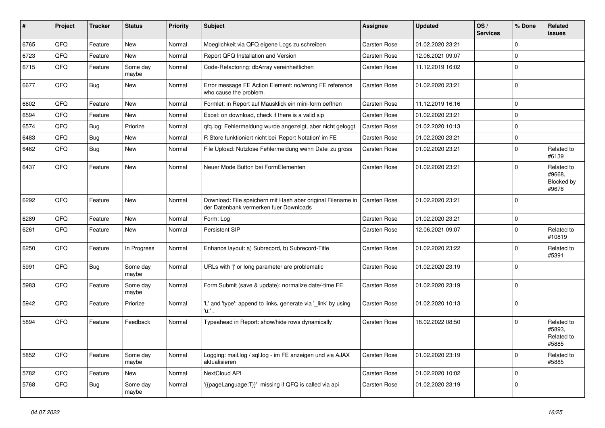| ∦    | Project | <b>Tracker</b> | <b>Status</b>     | <b>Priority</b> | <b>Subject</b>                                                                                        | Assignee            | <b>Updated</b>   | OS/<br><b>Services</b> | % Done      | Related<br><b>issues</b>                    |
|------|---------|----------------|-------------------|-----------------|-------------------------------------------------------------------------------------------------------|---------------------|------------------|------------------------|-------------|---------------------------------------------|
| 6765 | QFQ     | Feature        | <b>New</b>        | Normal          | Moeglichkeit via QFQ eigene Logs zu schreiben                                                         | Carsten Rose        | 01.02.2020 23:21 |                        | $\mathbf 0$ |                                             |
| 6723 | QFQ     | Feature        | <b>New</b>        | Normal          | Report QFQ Installation and Version                                                                   | Carsten Rose        | 12.06.2021 09:07 |                        | $\mathbf 0$ |                                             |
| 6715 | QFQ     | Feature        | Some day<br>maybe | Normal          | Code-Refactoring: dbArray vereinheitlichen                                                            | Carsten Rose        | 11.12.2019 16:02 |                        | $\mathbf 0$ |                                             |
| 6677 | QFQ     | Bug            | New               | Normal          | Error message FE Action Element: no/wrong FE reference<br>who cause the problem.                      | Carsten Rose        | 01.02.2020 23:21 |                        | $\mathbf 0$ |                                             |
| 6602 | QFQ     | Feature        | <b>New</b>        | Normal          | Formlet: in Report auf Mausklick ein mini-form oeffnen                                                | Carsten Rose        | 11.12.2019 16:16 |                        | $\pmb{0}$   |                                             |
| 6594 | QFQ     | Feature        | <b>New</b>        | Normal          | Excel: on download, check if there is a valid sip                                                     | Carsten Rose        | 01.02.2020 23:21 |                        | $\pmb{0}$   |                                             |
| 6574 | QFQ     | <b>Bug</b>     | Priorize          | Normal          | qfq.log: Fehlermeldung wurde angezeigt, aber nicht geloggt                                            | Carsten Rose        | 01.02.2020 10:13 |                        | $\pmb{0}$   |                                             |
| 6483 | QFQ     | <b>Bug</b>     | <b>New</b>        | Normal          | R Store funktioniert nicht bei 'Report Notation' im FE                                                | Carsten Rose        | 01.02.2020 23:21 |                        | $\mathbf 0$ |                                             |
| 6462 | QFQ     | Bug            | <b>New</b>        | Normal          | File Upload: Nutzlose Fehlermeldung wenn Datei zu gross                                               | Carsten Rose        | 01.02.2020 23:21 |                        | $\Omega$    | Related to<br>#6139                         |
| 6437 | QFQ     | Feature        | <b>New</b>        | Normal          | Neuer Mode Button bei FormElementen                                                                   | Carsten Rose        | 01.02.2020 23:21 |                        | $\mathbf 0$ | Related to<br>#9668,<br>Blocked by<br>#9678 |
| 6292 | QFQ     | Feature        | <b>New</b>        | Normal          | Download: File speichern mit Hash aber original Filename in<br>der Datenbank vermerken fuer Downloads | <b>Carsten Rose</b> | 01.02.2020 23:21 |                        | $\mathbf 0$ |                                             |
| 6289 | QFQ     | Feature        | <b>New</b>        | Normal          | Form: Log                                                                                             | Carsten Rose        | 01.02.2020 23:21 |                        | $\mathbf 0$ |                                             |
| 6261 | QFQ     | Feature        | New               | Normal          | Persistent SIP                                                                                        | Carsten Rose        | 12.06.2021 09:07 |                        | $\mathbf 0$ | Related to<br>#10819                        |
| 6250 | QFQ     | Feature        | In Progress       | Normal          | Enhance layout: a) Subrecord, b) Subrecord-Title                                                      | Carsten Rose        | 01.02.2020 23:22 |                        | $\mathbf 0$ | Related to<br>#5391                         |
| 5991 | QFQ     | Bug            | Some day<br>maybe | Normal          | URLs with ' ' or long parameter are problematic                                                       | Carsten Rose        | 01.02.2020 23:19 |                        | $\mathbf 0$ |                                             |
| 5983 | QFQ     | Feature        | Some day<br>maybe | Normal          | Form Submit (save & update): normalize date/-time FE                                                  | Carsten Rose        | 01.02.2020 23:19 |                        | $\mathbf 0$ |                                             |
| 5942 | QFQ     | Feature        | Priorize          | Normal          | 'L' and 'type': append to links, generate via '_link' by using<br>'u:' .                              | Carsten Rose        | 01.02.2020 10:13 |                        | $\pmb{0}$   |                                             |
| 5894 | QFQ     | Feature        | Feedback          | Normal          | Typeahead in Report: show/hide rows dynamically                                                       | Carsten Rose        | 18.02.2022 08:50 |                        | $\mathbf 0$ | Related to<br>#5893.<br>Related to<br>#5885 |
| 5852 | QFQ     | Feature        | Some day<br>maybe | Normal          | Logging: mail.log / sql.log - im FE anzeigen und via AJAX<br>aktualisieren                            | Carsten Rose        | 01.02.2020 23:19 |                        | $\mathbf 0$ | Related to<br>#5885                         |
| 5782 | QFQ     | Feature        | <b>New</b>        | Normal          | NextCloud API                                                                                         | Carsten Rose        | 01.02.2020 10:02 |                        | $\mathbf 0$ |                                             |
| 5768 | QFQ     | <b>Bug</b>     | Some day<br>maybe | Normal          | '{{pageLanguage:T}}' missing if QFQ is called via api                                                 | Carsten Rose        | 01.02.2020 23:19 |                        | $\mathbf 0$ |                                             |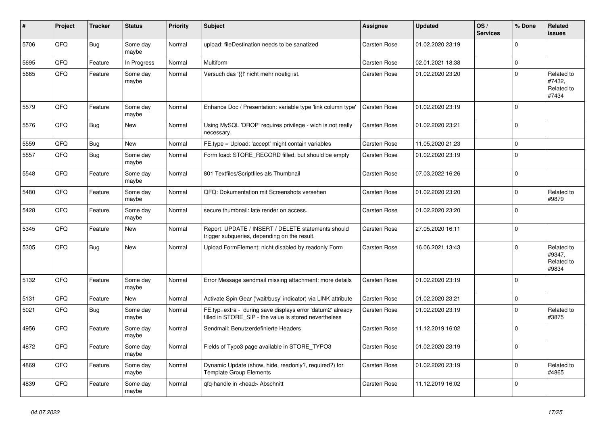| ∦    | Project | <b>Tracker</b> | <b>Status</b>     | <b>Priority</b> | <b>Subject</b>                                                                                                       | <b>Assignee</b>     | Updated          | OS/<br><b>Services</b> | % Done      | Related<br><b>issues</b>                    |
|------|---------|----------------|-------------------|-----------------|----------------------------------------------------------------------------------------------------------------------|---------------------|------------------|------------------------|-------------|---------------------------------------------|
| 5706 | QFQ     | Bug            | Some day<br>maybe | Normal          | upload: fileDestination needs to be sanatized                                                                        | Carsten Rose        | 01.02.2020 23:19 |                        | $\Omega$    |                                             |
| 5695 | QFQ     | Feature        | In Progress       | Normal          | <b>Multiform</b>                                                                                                     | Carsten Rose        | 02.01.2021 18:38 |                        | $\pmb{0}$   |                                             |
| 5665 | QFQ     | Feature        | Some day<br>maybe | Normal          | Versuch das '{{!' nicht mehr noetig ist.                                                                             | Carsten Rose        | 01.02.2020 23:20 |                        | $\Omega$    | Related to<br>#7432,<br>Related to<br>#7434 |
| 5579 | QFQ     | Feature        | Some day<br>maybe | Normal          | Enhance Doc / Presentation: variable type 'link column type'                                                         | Carsten Rose        | 01.02.2020 23:19 |                        | $\Omega$    |                                             |
| 5576 | QFQ     | Bug            | New               | Normal          | Using MySQL 'DROP' requires privilege - wich is not really<br>necessary.                                             | Carsten Rose        | 01.02.2020 23:21 |                        | $\Omega$    |                                             |
| 5559 | QFQ     | <b>Bug</b>     | <b>New</b>        | Normal          | FE.type = Upload: 'accept' might contain variables                                                                   | <b>Carsten Rose</b> | 11.05.2020 21:23 |                        | $\mathbf 0$ |                                             |
| 5557 | QFQ     | Bug            | Some day<br>maybe | Normal          | Form load: STORE RECORD filled, but should be empty                                                                  | Carsten Rose        | 01.02.2020 23:19 |                        | $\Omega$    |                                             |
| 5548 | QFQ     | Feature        | Some day<br>maybe | Normal          | 801 Textfiles/Scriptfiles als Thumbnail                                                                              | Carsten Rose        | 07.03.2022 16:26 |                        | $\mathbf 0$ |                                             |
| 5480 | QFQ     | Feature        | Some day<br>maybe | Normal          | QFQ: Dokumentation mit Screenshots versehen                                                                          | <b>Carsten Rose</b> | 01.02.2020 23:20 |                        | $\mathbf 0$ | Related to<br>#9879                         |
| 5428 | QFQ     | Feature        | Some day<br>maybe | Normal          | secure thumbnail: late render on access.                                                                             | <b>Carsten Rose</b> | 01.02.2020 23:20 |                        | $\mathbf 0$ |                                             |
| 5345 | QFQ     | Feature        | <b>New</b>        | Normal          | Report: UPDATE / INSERT / DELETE statements should<br>trigger subqueries, depending on the result.                   | Carsten Rose        | 27.05.2020 16:11 |                        | $\Omega$    |                                             |
| 5305 | QFQ     | Bug            | <b>New</b>        | Normal          | Upload FormElement: nicht disabled by readonly Form                                                                  | <b>Carsten Rose</b> | 16.06.2021 13:43 |                        | $\Omega$    | Related to<br>#9347,<br>Related to<br>#9834 |
| 5132 | QFQ     | Feature        | Some day<br>maybe | Normal          | Error Message sendmail missing attachment: more details                                                              | Carsten Rose        | 01.02.2020 23:19 |                        | $\Omega$    |                                             |
| 5131 | QFQ     | Feature        | <b>New</b>        | Normal          | Activate Spin Gear ('wait/busy' indicator) via LINK attribute                                                        | <b>Carsten Rose</b> | 01.02.2020 23:21 |                        | $\mathbf 0$ |                                             |
| 5021 | QFQ     | <b>Bug</b>     | Some day<br>maybe | Normal          | FE.typ=extra - during save displays error 'datum2' already<br>filled in STORE_SIP - the value is stored nevertheless | <b>Carsten Rose</b> | 01.02.2020 23:19 |                        | $\Omega$    | Related to<br>#3875                         |
| 4956 | QFQ     | Feature        | Some day<br>maybe | Normal          | Sendmail: Benutzerdefinierte Headers                                                                                 | <b>Carsten Rose</b> | 11.12.2019 16:02 |                        | $\mathbf 0$ |                                             |
| 4872 | QFQ     | Feature        | Some day<br>maybe | Normal          | Fields of Typo3 page available in STORE_TYPO3                                                                        | Carsten Rose        | 01.02.2020 23:19 |                        | $\Omega$    |                                             |
| 4869 | QFQ     | Feature        | Some day<br>maybe | Normal          | Dynamic Update (show, hide, readonly?, required?) for<br><b>Template Group Elements</b>                              | Carsten Rose        | 01.02.2020 23:19 |                        | $\Omega$    | Related to<br>#4865                         |
| 4839 | QFQ     | Feature        | Some day<br>maybe | Normal          | qfq-handle in <head> Abschnitt</head>                                                                                | <b>Carsten Rose</b> | 11.12.2019 16:02 |                        | $\mathbf 0$ |                                             |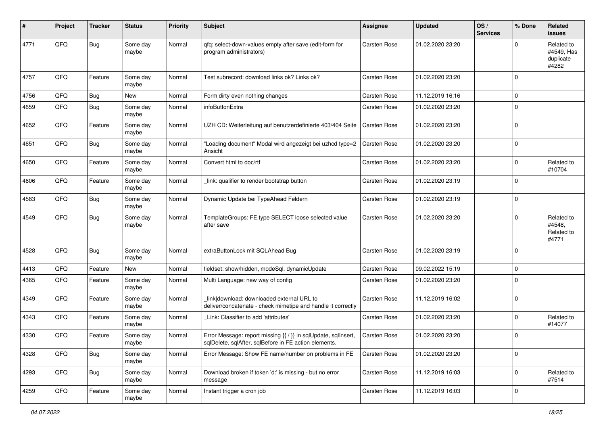| #    | Project | <b>Tracker</b> | <b>Status</b>     | <b>Priority</b> | <b>Subject</b>                                                                                                          | Assignee            | <b>Updated</b>   | OS/<br><b>Services</b> | % Done      | Related<br><b>issues</b>                       |
|------|---------|----------------|-------------------|-----------------|-------------------------------------------------------------------------------------------------------------------------|---------------------|------------------|------------------------|-------------|------------------------------------------------|
| 4771 | QFQ     | <b>Bug</b>     | Some day<br>maybe | Normal          | qfq: select-down-values empty after save (edit-form for<br>program administrators)                                      | Carsten Rose        | 01.02.2020 23:20 |                        | $\Omega$    | Related to<br>#4549, Has<br>duplicate<br>#4282 |
| 4757 | QFQ     | Feature        | Some day<br>maybe | Normal          | Test subrecord: download links ok? Links ok?                                                                            | Carsten Rose        | 01.02.2020 23:20 |                        | $\Omega$    |                                                |
| 4756 | QFQ     | <b>Bug</b>     | <b>New</b>        | Normal          | Form dirty even nothing changes                                                                                         | Carsten Rose        | 11.12.2019 16:16 |                        | $\mathbf 0$ |                                                |
| 4659 | QFQ     | <b>Bug</b>     | Some day<br>maybe | Normal          | infoButtonExtra                                                                                                         | Carsten Rose        | 01.02.2020 23:20 |                        | $\mathbf 0$ |                                                |
| 4652 | QFQ     | Feature        | Some day<br>maybe | Normal          | UZH CD: Weiterleitung auf benutzerdefinierte 403/404 Seite                                                              | Carsten Rose        | 01.02.2020 23:20 |                        | $\mathbf 0$ |                                                |
| 4651 | QFQ     | <b>Bug</b>     | Some day<br>maybe | Normal          | 'Loading document" Modal wird angezeigt bei uzhcd type=2<br>Ansicht                                                     | Carsten Rose        | 01.02.2020 23:20 |                        | $\mathbf 0$ |                                                |
| 4650 | QFQ     | Feature        | Some day<br>maybe | Normal          | Convert html to doc/rtf                                                                                                 | Carsten Rose        | 01.02.2020 23:20 |                        | $\Omega$    | Related to<br>#10704                           |
| 4606 | QFQ     | Feature        | Some day<br>maybe | Normal          | link: qualifier to render bootstrap button                                                                              | Carsten Rose        | 01.02.2020 23:19 |                        | $\mathbf 0$ |                                                |
| 4583 | QFQ     | <b>Bug</b>     | Some day<br>maybe | Normal          | Dynamic Update bei TypeAhead Feldern                                                                                    | <b>Carsten Rose</b> | 01.02.2020 23:19 |                        | $\mathbf 0$ |                                                |
| 4549 | QFQ     | <b>Bug</b>     | Some day<br>maybe | Normal          | TemplateGroups: FE.type SELECT loose selected value<br>after save                                                       | Carsten Rose        | 01.02.2020 23:20 |                        | $\mathbf 0$ | Related to<br>#4548,<br>Related to<br>#4771    |
| 4528 | QFQ     | <b>Bug</b>     | Some day<br>maybe | Normal          | extraButtonLock mit SQLAhead Bug                                                                                        | Carsten Rose        | 01.02.2020 23:19 |                        | $\mathbf 0$ |                                                |
| 4413 | QFQ     | Feature        | New               | Normal          | fieldset: show/hidden, modeSql, dynamicUpdate                                                                           | Carsten Rose        | 09.02.2022 15:19 |                        | $\mathbf 0$ |                                                |
| 4365 | QFQ     | Feature        | Some day<br>maybe | Normal          | Multi Language: new way of config                                                                                       | Carsten Rose        | 01.02.2020 23:20 |                        | $\mathbf 0$ |                                                |
| 4349 | QFQ     | Feature        | Some day<br>maybe | Normal          | link download: downloaded external URL to<br>deliver/concatenate - check mimetipe and handle it correctly               | Carsten Rose        | 11.12.2019 16:02 |                        | $\mathbf 0$ |                                                |
| 4343 | QFQ     | Feature        | Some day<br>maybe | Normal          | Link: Classifier to add 'attributes'                                                                                    | Carsten Rose        | 01.02.2020 23:20 |                        | $\mathbf 0$ | Related to<br>#14077                           |
| 4330 | QFQ     | Feature        | Some day<br>maybe | Normal          | Error Message: report missing {{ / }} in sqlUpdate, sqlInsert,<br>sqlDelete, sqlAfter, sqlBefore in FE action elements. | Carsten Rose        | 01.02.2020 23:20 |                        | $\mathbf 0$ |                                                |
| 4328 | QFQ     | <b>Bug</b>     | Some day<br>maybe | Normal          | Error Message: Show FE name/number on problems in FE                                                                    | Carsten Rose        | 01.02.2020 23:20 |                        | $\mathbf 0$ |                                                |
| 4293 | QFG     | <b>Bug</b>     | Some day<br>maybe | Normal          | Download broken if token 'd:' is missing - but no error<br>message                                                      | Carsten Rose        | 11.12.2019 16:03 |                        | $\mathbf 0$ | Related to<br>#7514                            |
| 4259 | QFQ     | Feature        | Some day<br>maybe | Normal          | Instant trigger a cron job                                                                                              | Carsten Rose        | 11.12.2019 16:03 |                        | $\mathbf 0$ |                                                |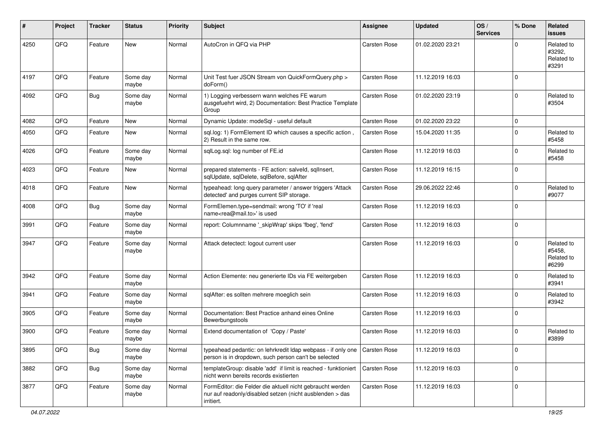| #    | Project | <b>Tracker</b> | <b>Status</b>     | <b>Priority</b> | <b>Subject</b>                                                                                                                      | <b>Assignee</b>     | <b>Updated</b>   | OS/<br><b>Services</b> | % Done      | Related<br><b>issues</b>                    |
|------|---------|----------------|-------------------|-----------------|-------------------------------------------------------------------------------------------------------------------------------------|---------------------|------------------|------------------------|-------------|---------------------------------------------|
| 4250 | QFQ     | Feature        | <b>New</b>        | Normal          | AutoCron in QFQ via PHP                                                                                                             | <b>Carsten Rose</b> | 01.02.2020 23:21 |                        | $\Omega$    | Related to<br>#3292,<br>Related to<br>#3291 |
| 4197 | QFQ     | Feature        | Some day<br>maybe | Normal          | Unit Test fuer JSON Stream von QuickFormQuery.php ><br>doForm()                                                                     | Carsten Rose        | 11.12.2019 16:03 |                        | $\Omega$    |                                             |
| 4092 | QFQ     | <b>Bug</b>     | Some day<br>maybe | Normal          | 1) Logging verbessern wann welches FE warum<br>ausgefuehrt wird, 2) Documentation: Best Practice Template<br>Group                  | Carsten Rose        | 01.02.2020 23:19 |                        | $\Omega$    | Related to<br>#3504                         |
| 4082 | QFQ     | Feature        | <b>New</b>        | Normal          | Dynamic Update: modeSql - useful default                                                                                            | <b>Carsten Rose</b> | 01.02.2020 23:22 |                        | $\mathbf 0$ |                                             |
| 4050 | QFQ     | Feature        | <b>New</b>        | Normal          | sql.log: 1) FormElement ID which causes a specific action,<br>2) Result in the same row.                                            | Carsten Rose        | 15.04.2020 11:35 |                        | $\Omega$    | Related to<br>#5458                         |
| 4026 | QFQ     | Feature        | Some day<br>maybe | Normal          | sqlLog.sql: log number of FE.id                                                                                                     | Carsten Rose        | 11.12.2019 16:03 |                        | $\Omega$    | Related to<br>#5458                         |
| 4023 | QFQ     | Feature        | <b>New</b>        | Normal          | prepared statements - FE action: salveld, sqllnsert,<br>sqlUpdate, sqlDelete, sqlBefore, sqlAfter                                   | Carsten Rose        | 11.12.2019 16:15 |                        | $\Omega$    |                                             |
| 4018 | QFQ     | Feature        | <b>New</b>        | Normal          | typeahead: long query parameter / answer triggers 'Attack<br>detected' and purges current SIP storage.                              | Carsten Rose        | 29.06.2022 22:46 |                        | $\Omega$    | Related to<br>#9077                         |
| 4008 | QFQ     | <b>Bug</b>     | Some day<br>maybe | Normal          | FormElemen.type=sendmail: wrong 'TO' if 'real<br>name <rea@mail.to>' is used</rea@mail.to>                                          | Carsten Rose        | 11.12.2019 16:03 |                        | $\Omega$    |                                             |
| 3991 | QFQ     | Feature        | Some day<br>maybe | Normal          | report: Columnname '_skipWrap' skips 'fbeg', 'fend'                                                                                 | Carsten Rose        | 11.12.2019 16:03 |                        | $\Omega$    |                                             |
| 3947 | QFQ     | Feature        | Some day<br>maybe | Normal          | Attack detectect: logout current user                                                                                               | Carsten Rose        | 11.12.2019 16:03 |                        | $\Omega$    | Related to<br>#5458,<br>Related to<br>#6299 |
| 3942 | QFQ     | Feature        | Some day<br>maybe | Normal          | Action Elemente: neu generierte IDs via FE weitergeben                                                                              | Carsten Rose        | 11.12.2019 16:03 |                        | $\Omega$    | Related to<br>#3941                         |
| 3941 | QFQ     | Feature        | Some day<br>maybe | Normal          | sqlAfter: es sollten mehrere moeglich sein                                                                                          | Carsten Rose        | 11.12.2019 16:03 |                        | $\Omega$    | Related to<br>#3942                         |
| 3905 | QFQ     | Feature        | Some day<br>maybe | Normal          | Documentation: Best Practice anhand eines Online<br>Bewerbungstools                                                                 | Carsten Rose        | 11.12.2019 16:03 |                        | $\mathbf 0$ |                                             |
| 3900 | QFQ     | Feature        | Some day<br>maybe | Normal          | Extend documentation of 'Copy / Paste'                                                                                              | Carsten Rose        | 11.12.2019 16:03 |                        | $\Omega$    | Related to<br>#3899                         |
| 3895 | QFQ     | <b>Bug</b>     | Some day<br>maybe | Normal          | typeahead pedantic: on lehrkredit Idap webpass - if only one<br>person is in dropdown, such person can't be selected                | Carsten Rose        | 11.12.2019 16:03 |                        | $\mathbf 0$ |                                             |
| 3882 | QFQ     | Bug            | Some day<br>maybe | Normal          | templateGroup: disable 'add' if limit is reached - funktioniert<br>nicht wenn bereits records existierten                           | l Carsten Rose      | 11.12.2019 16:03 |                        | $\mathbf 0$ |                                             |
| 3877 | QFQ     | Feature        | Some day<br>maybe | Normal          | FormEditor: die Felder die aktuell nicht gebraucht werden<br>nur auf readonly/disabled setzen (nicht ausblenden > das<br>irritiert. | Carsten Rose        | 11.12.2019 16:03 |                        | $\mathbf 0$ |                                             |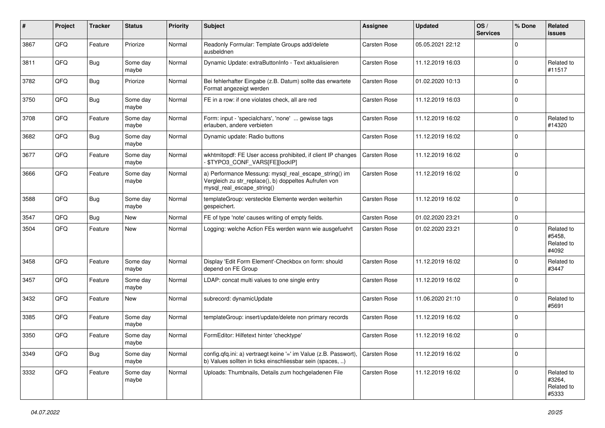| #    | Project | <b>Tracker</b> | <b>Status</b>     | <b>Priority</b> | <b>Subject</b>                                                                                                                               | Assignee     | <b>Updated</b>   | OS/<br><b>Services</b> | % Done      | Related<br><b>issues</b>                    |
|------|---------|----------------|-------------------|-----------------|----------------------------------------------------------------------------------------------------------------------------------------------|--------------|------------------|------------------------|-------------|---------------------------------------------|
| 3867 | QFQ     | Feature        | Priorize          | Normal          | Readonly Formular: Template Groups add/delete<br>ausbeldnen                                                                                  | Carsten Rose | 05.05.2021 22:12 |                        | $\mathbf 0$ |                                             |
| 3811 | QFQ     | Bug            | Some day<br>maybe | Normal          | Dynamic Update: extraButtonInfo - Text aktualisieren                                                                                         | Carsten Rose | 11.12.2019 16:03 |                        | $\mathbf 0$ | Related to<br>#11517                        |
| 3782 | QFQ     | <b>Bug</b>     | Priorize          | Normal          | Bei fehlerhafter Eingabe (z.B. Datum) sollte das erwartete<br>Format angezeigt werden                                                        | Carsten Rose | 01.02.2020 10:13 |                        | $\mathbf 0$ |                                             |
| 3750 | QFQ     | <b>Bug</b>     | Some day<br>maybe | Normal          | FE in a row: if one violates check, all are red                                                                                              | Carsten Rose | 11.12.2019 16:03 |                        | $\mathbf 0$ |                                             |
| 3708 | QFQ     | Feature        | Some day<br>maybe | Normal          | Form: input - 'specialchars', 'none'  gewisse tags<br>erlauben, andere verbieten                                                             | Carsten Rose | 11.12.2019 16:02 |                        | $\mathbf 0$ | Related to<br>#14320                        |
| 3682 | QFQ     | <b>Bug</b>     | Some day<br>maybe | Normal          | Dynamic update: Radio buttons                                                                                                                | Carsten Rose | 11.12.2019 16:02 |                        | $\Omega$    |                                             |
| 3677 | QFQ     | Feature        | Some day<br>maybe | Normal          | wkhtmltopdf: FE User access prohibited, if client IP changes<br>\$TYPO3_CONF_VARS[FE][lockIP]                                                | Carsten Rose | 11.12.2019 16:02 |                        | $\mathbf 0$ |                                             |
| 3666 | QFQ     | Feature        | Some day<br>maybe | Normal          | a) Performance Messung: mysql_real_escape_string() im<br>Vergleich zu str_replace(), b) doppeltes Aufrufen von<br>mysql real escape string() | Carsten Rose | 11.12.2019 16:02 |                        | $\mathbf 0$ |                                             |
| 3588 | QFQ     | <b>Bug</b>     | Some day<br>maybe | Normal          | templateGroup: versteckte Elemente werden weiterhin<br>gespeichert.                                                                          | Carsten Rose | 11.12.2019 16:02 |                        | $\mathbf 0$ |                                             |
| 3547 | QFQ     | <b>Bug</b>     | <b>New</b>        | Normal          | FE of type 'note' causes writing of empty fields.                                                                                            | Carsten Rose | 01.02.2020 23:21 |                        | $\mathbf 0$ |                                             |
| 3504 | QFQ     | Feature        | New               | Normal          | Logging: welche Action FEs werden wann wie ausgefuehrt                                                                                       | Carsten Rose | 01.02.2020 23:21 |                        | $\Omega$    | Related to<br>#5458,<br>Related to<br>#4092 |
| 3458 | QFQ     | Feature        | Some day<br>maybe | Normal          | Display 'Edit Form Element'-Checkbox on form: should<br>depend on FE Group                                                                   | Carsten Rose | 11.12.2019 16:02 |                        | $\Omega$    | Related to<br>#3447                         |
| 3457 | QFQ     | Feature        | Some day<br>maybe | Normal          | LDAP: concat multi values to one single entry                                                                                                | Carsten Rose | 11.12.2019 16:02 |                        | $\mathbf 0$ |                                             |
| 3432 | QFQ     | Feature        | <b>New</b>        | Normal          | subrecord: dynamicUpdate                                                                                                                     | Carsten Rose | 11.06.2020 21:10 |                        | $\mathbf 0$ | Related to<br>#5691                         |
| 3385 | QFQ     | Feature        | Some day<br>maybe | Normal          | templateGroup: insert/update/delete non primary records                                                                                      | Carsten Rose | 11.12.2019 16:02 |                        | $\mathbf 0$ |                                             |
| 3350 | QFQ     | Feature        | Some day<br>maybe | Normal          | FormEditor: Hilfetext hinter 'checktype'                                                                                                     | Carsten Rose | 11.12.2019 16:02 |                        | $\mathbf 0$ |                                             |
| 3349 | QFQ     | <b>Bug</b>     | Some day<br>maybe | Normal          | config.qfq.ini: a) vertraegt keine '=' im Value (z.B. Passwort),<br>b) Values sollten in ticks einschliessbar sein (spaces, )                | Carsten Rose | 11.12.2019 16:02 |                        | $\mathbf 0$ |                                             |
| 3332 | QFQ     | Feature        | Some day<br>maybe | Normal          | Uploads: Thumbnails, Details zum hochgeladenen File                                                                                          | Carsten Rose | 11.12.2019 16:02 |                        | $\mathbf 0$ | Related to<br>#3264,<br>Related to<br>#5333 |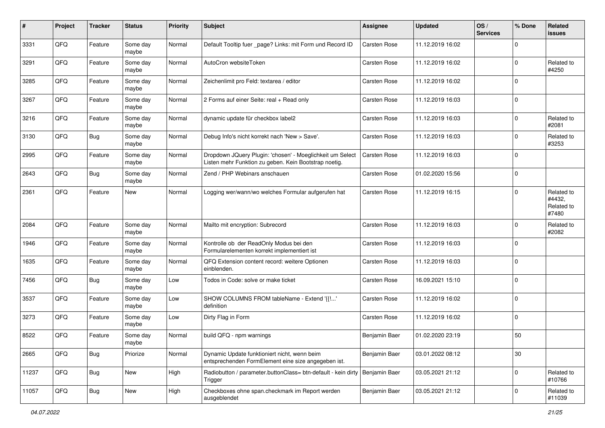| #     | Project | <b>Tracker</b> | <b>Status</b>     | <b>Priority</b> | <b>Subject</b>                                                                                                     | Assignee      | <b>Updated</b>   | OS/<br><b>Services</b> | % Done      | Related<br><b>issues</b>                    |
|-------|---------|----------------|-------------------|-----------------|--------------------------------------------------------------------------------------------------------------------|---------------|------------------|------------------------|-------------|---------------------------------------------|
| 3331  | QFQ     | Feature        | Some day<br>maybe | Normal          | Default Tooltip fuer _page? Links: mit Form und Record ID                                                          | Carsten Rose  | 11.12.2019 16:02 |                        | $\mathbf 0$ |                                             |
| 3291  | QFQ     | Feature        | Some day<br>maybe | Normal          | AutoCron websiteToken                                                                                              | Carsten Rose  | 11.12.2019 16:02 |                        | $\mathbf 0$ | Related to<br>#4250                         |
| 3285  | QFQ     | Feature        | Some day<br>maybe | Normal          | Zeichenlimit pro Feld: textarea / editor                                                                           | Carsten Rose  | 11.12.2019 16:02 |                        | 0           |                                             |
| 3267  | QFQ     | Feature        | Some day<br>maybe | Normal          | 2 Forms auf einer Seite: real + Read only                                                                          | Carsten Rose  | 11.12.2019 16:03 |                        | $\mathbf 0$ |                                             |
| 3216  | QFQ     | Feature        | Some day<br>maybe | Normal          | dynamic update für checkbox label2                                                                                 | Carsten Rose  | 11.12.2019 16:03 |                        | $\mathbf 0$ | Related to<br>#2081                         |
| 3130  | QFQ     | Bug            | Some day<br>maybe | Normal          | Debug Info's nicht korrekt nach 'New > Save'.                                                                      | Carsten Rose  | 11.12.2019 16:03 |                        | $\mathbf 0$ | Related to<br>#3253                         |
| 2995  | QFQ     | Feature        | Some day<br>maybe | Normal          | Dropdown JQuery Plugin: 'chosen' - Moeglichkeit um Select<br>Listen mehr Funktion zu geben. Kein Bootstrap noetig. | Carsten Rose  | 11.12.2019 16:03 |                        | $\mathbf 0$ |                                             |
| 2643  | QFQ     | <b>Bug</b>     | Some day<br>maybe | Normal          | Zend / PHP Webinars anschauen                                                                                      | Carsten Rose  | 01.02.2020 15:56 |                        | $\mathbf 0$ |                                             |
| 2361  | QFQ     | Feature        | New               | Normal          | Logging wer/wann/wo welches Formular aufgerufen hat                                                                | Carsten Rose  | 11.12.2019 16:15 |                        | $\mathbf 0$ | Related to<br>#4432,<br>Related to<br>#7480 |
| 2084  | QFQ     | Feature        | Some day<br>maybe | Normal          | Mailto mit encryption: Subrecord                                                                                   | Carsten Rose  | 11.12.2019 16:03 |                        | $\mathbf 0$ | Related to<br>#2082                         |
| 1946  | QFQ     | Feature        | Some day<br>maybe | Normal          | Kontrolle ob der ReadOnly Modus bei den<br>Formularelementen korrekt implementiert ist                             | Carsten Rose  | 11.12.2019 16:03 |                        | $\mathbf 0$ |                                             |
| 1635  | QFQ     | Feature        | Some day<br>maybe | Normal          | QFQ Extension content record: weitere Optionen<br>einblenden.                                                      | Carsten Rose  | 11.12.2019 16:03 |                        | $\mathbf 0$ |                                             |
| 7456  | QFQ     | <b>Bug</b>     | Some day<br>maybe | Low             | Todos in Code: solve or make ticket                                                                                | Carsten Rose  | 16.09.2021 15:10 |                        | $\mathbf 0$ |                                             |
| 3537  | QFQ     | Feature        | Some day<br>maybe | Low             | SHOW COLUMNS FROM tableName - Extend '{{'<br>definition                                                            | Carsten Rose  | 11.12.2019 16:02 |                        | $\mathbf 0$ |                                             |
| 3273  | QFQ     | Feature        | Some day<br>maybe | Low             | Dirty Flag in Form                                                                                                 | Carsten Rose  | 11.12.2019 16:02 |                        | $\mathbf 0$ |                                             |
| 8522  | QFQ     | Feature        | Some day<br>maybe | Normal          | build QFQ - npm warnings                                                                                           | Benjamin Baer | 01.02.2020 23:19 |                        | 50          |                                             |
| 2665  | QFQ     | <b>Bug</b>     | Priorize          | Normal          | Dynamic Update funktioniert nicht, wenn beim<br>entsprechenden FormElement eine size angegeben ist.                | Benjamin Baer | 03.01.2022 08:12 |                        | 30          |                                             |
| 11237 | QFQ     | Bug            | New               | High            | Radiobutton / parameter.buttonClass= btn-default - kein dirty   Benjamin Baer<br>Trigger                           |               | 03.05.2021 21:12 |                        | $\mathbf 0$ | Related to<br>#10766                        |
| 11057 | QFQ     | <b>Bug</b>     | New               | High            | Checkboxes ohne span.checkmark im Report werden<br>ausgeblendet                                                    | Benjamin Baer | 03.05.2021 21:12 |                        | $\pmb{0}$   | Related to<br>#11039                        |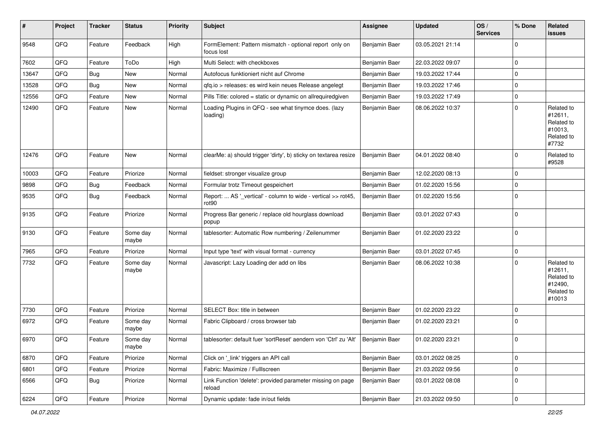| #     | Project | <b>Tracker</b> | <b>Status</b>     | <b>Priority</b> | <b>Subject</b>                                                                     | <b>Assignee</b> | <b>Updated</b>   | OS/<br><b>Services</b> | % Done      | Related<br>issues                                                      |
|-------|---------|----------------|-------------------|-----------------|------------------------------------------------------------------------------------|-----------------|------------------|------------------------|-------------|------------------------------------------------------------------------|
| 9548  | QFQ     | Feature        | Feedback          | High            | FormElement: Pattern mismatch - optional report only on<br>focus lost              | Benjamin Baer   | 03.05.2021 21:14 |                        | $\Omega$    |                                                                        |
| 7602  | QFQ     | Feature        | ToDo              | High            | Multi Select: with checkboxes                                                      | Benjamin Baer   | 22.03.2022 09:07 |                        | 0           |                                                                        |
| 13647 | QFQ     | <b>Bug</b>     | New               | Normal          | Autofocus funktioniert nicht auf Chrome                                            | Benjamin Baer   | 19.03.2022 17:44 |                        | $\mathbf 0$ |                                                                        |
| 13528 | QFQ     | <b>Bug</b>     | New               | Normal          | gfg.io > releases: es wird kein neues Release angelegt                             | Benjamin Baer   | 19.03.2022 17:46 |                        | $\mathbf 0$ |                                                                        |
| 12556 | QFQ     | Feature        | New               | Normal          | Pills Title: colored = static or dynamic on allrequiredgiven                       | Benjamin Baer   | 19.03.2022 17:49 |                        | $\mathbf 0$ |                                                                        |
| 12490 | QFQ     | Feature        | New               | Normal          | Loading Plugins in QFQ - see what tinymce does. (lazy<br>loading)                  | Benjamin Baer   | 08.06.2022 10:37 |                        | $\mathbf 0$ | Related to<br>#12611,<br>Related to<br>#10013,<br>Related to<br>#7732  |
| 12476 | QFQ     | Feature        | New               | Normal          | clearMe: a) should trigger 'dirty', b) sticky on textarea resize                   | Benjamin Baer   | 04.01.2022 08:40 |                        | $\mathbf 0$ | Related to<br>#9528                                                    |
| 10003 | QFQ     | Feature        | Priorize          | Normal          | fieldset: stronger visualize group                                                 | Benjamin Baer   | 12.02.2020 08:13 |                        | $\mathbf 0$ |                                                                        |
| 9898  | QFQ     | Bug            | Feedback          | Normal          | Formular trotz Timeout gespeichert                                                 | Benjamin Baer   | 01.02.2020 15:56 |                        | $\pmb{0}$   |                                                                        |
| 9535  | QFQ     | <b>Bug</b>     | Feedback          | Normal          | Report:  AS '_vertical' - column to wide - vertical >> rot45,<br>rot <sub>90</sub> | Benjamin Baer   | 01.02.2020 15:56 |                        | $\mathbf 0$ |                                                                        |
| 9135  | QFQ     | Feature        | Priorize          | Normal          | Progress Bar generic / replace old hourglass download<br>popup                     | Benjamin Baer   | 03.01.2022 07:43 |                        | $\Omega$    |                                                                        |
| 9130  | QFQ     | Feature        | Some day<br>maybe | Normal          | tablesorter: Automatic Row numbering / Zeilenummer                                 | Benjamin Baer   | 01.02.2020 23:22 |                        | $\mathbf 0$ |                                                                        |
| 7965  | QFQ     | Feature        | Priorize          | Normal          | Input type 'text' with visual format - currency                                    | Benjamin Baer   | 03.01.2022 07:45 |                        | $\mathbf 0$ |                                                                        |
| 7732  | QFQ     | Feature        | Some day<br>maybe | Normal          | Javascript: Lazy Loading der add on libs                                           | Benjamin Baer   | 08.06.2022 10:38 |                        | $\Omega$    | Related to<br>#12611,<br>Related to<br>#12490,<br>Related to<br>#10013 |
| 7730  | QFQ     | Feature        | Priorize          | Normal          | SELECT Box: title in between                                                       | Benjamin Baer   | 01.02.2020 23:22 |                        | 0           |                                                                        |
| 6972  | QFQ     | Feature        | Some day<br>maybe | Normal          | Fabric Clipboard / cross browser tab                                               | Benjamin Baer   | 01.02.2020 23:21 |                        | $\mathbf 0$ |                                                                        |
| 6970  | QFQ     | Feature        | Some day<br>maybe | Normal          | tablesorter: default fuer 'sortReset' aendern von 'Ctrl' zu 'Alt'                  | Benjamin Baer   | 01.02.2020 23:21 |                        | $\mathbf 0$ |                                                                        |
| 6870  | QFQ     | Feature        | Priorize          | Normal          | Click on '_link' triggers an API call                                              | Benjamin Baer   | 03.01.2022 08:25 |                        | $\mathbf 0$ |                                                                        |
| 6801  | QFQ     | Feature        | Priorize          | Normal          | Fabric: Maximize / FullIscreen                                                     | Benjamin Baer   | 21.03.2022 09:56 |                        | $\mathbf 0$ |                                                                        |
| 6566  | QFQ     | <b>Bug</b>     | Priorize          | Normal          | Link Function 'delete': provided parameter missing on page<br>reload               | Benjamin Baer   | 03.01.2022 08:08 |                        | $\mathbf 0$ |                                                                        |
| 6224  | QFG     | Feature        | Priorize          | Normal          | Dynamic update: fade in/out fields                                                 | Benjamin Baer   | 21.03.2022 09:50 |                        | 0           |                                                                        |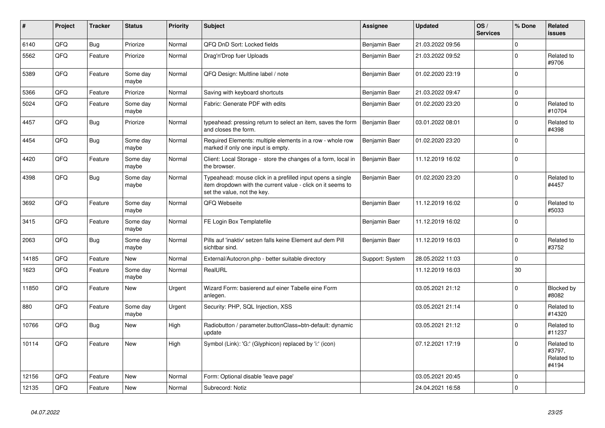| $\vert$ # | Project | <b>Tracker</b> | <b>Status</b>     | <b>Priority</b> | <b>Subject</b>                                                                                                                                           | <b>Assignee</b> | <b>Updated</b>   | OS/<br><b>Services</b> | % Done      | Related<br><b>issues</b>                    |
|-----------|---------|----------------|-------------------|-----------------|----------------------------------------------------------------------------------------------------------------------------------------------------------|-----------------|------------------|------------------------|-------------|---------------------------------------------|
| 6140      | QFQ     | Bug            | Priorize          | Normal          | QFQ DnD Sort: Locked fields                                                                                                                              | Benjamin Baer   | 21.03.2022 09:56 |                        | $\mathbf 0$ |                                             |
| 5562      | QFQ     | Feature        | Priorize          | Normal          | Drag'n'Drop fuer Uploads                                                                                                                                 | Benjamin Baer   | 21.03.2022 09:52 |                        | $\Omega$    | Related to<br>#9706                         |
| 5389      | QFQ     | Feature        | Some day<br>maybe | Normal          | QFQ Design: Multline label / note                                                                                                                        | Benjamin Baer   | 01.02.2020 23:19 |                        | $\Omega$    |                                             |
| 5366      | QFQ     | Feature        | Priorize          | Normal          | Saving with keyboard shortcuts                                                                                                                           | Benjamin Baer   | 21.03.2022 09:47 |                        | $\mathbf 0$ |                                             |
| 5024      | QFQ     | Feature        | Some day<br>maybe | Normal          | Fabric: Generate PDF with edits                                                                                                                          | Benjamin Baer   | 01.02.2020 23:20 |                        | $\Omega$    | Related to<br>#10704                        |
| 4457      | QFQ     | Bug            | Priorize          | Normal          | typeahead: pressing return to select an item, saves the form<br>and closes the form.                                                                     | Benjamin Baer   | 03.01.2022 08:01 |                        | $\mathbf 0$ | Related to<br>#4398                         |
| 4454      | QFQ     | <b>Bug</b>     | Some day<br>maybe | Normal          | Required Elements: multiple elements in a row - whole row<br>marked if only one input is empty.                                                          | Benjamin Baer   | 01.02.2020 23:20 |                        | $\Omega$    |                                             |
| 4420      | QFQ     | Feature        | Some day<br>maybe | Normal          | Client: Local Storage - store the changes of a form, local in<br>the browser.                                                                            | Benjamin Baer   | 11.12.2019 16:02 |                        | $\Omega$    |                                             |
| 4398      | QFQ     | Bug            | Some day<br>maybe | Normal          | Typeahead: mouse click in a prefilled input opens a single<br>item dropdown with the current value - click on it seems to<br>set the value, not the key. | Benjamin Baer   | 01.02.2020 23:20 |                        | $\Omega$    | Related to<br>#4457                         |
| 3692      | QFQ     | Feature        | Some day<br>maybe | Normal          | QFQ Webseite                                                                                                                                             | Benjamin Baer   | 11.12.2019 16:02 |                        | $\Omega$    | Related to<br>#5033                         |
| 3415      | QFQ     | Feature        | Some day<br>maybe | Normal          | FE Login Box Templatefile                                                                                                                                | Benjamin Baer   | 11.12.2019 16:02 |                        | $\mathbf 0$ |                                             |
| 2063      | QFQ     | <b>Bug</b>     | Some day<br>maybe | Normal          | Pills auf 'inaktiv' setzen falls keine Element auf dem Pill<br>sichtbar sind.                                                                            | Benjamin Baer   | 11.12.2019 16:03 |                        | $\Omega$    | Related to<br>#3752                         |
| 14185     | QFQ     | Feature        | <b>New</b>        | Normal          | External/Autocron.php - better suitable directory                                                                                                        | Support: System | 28.05.2022 11:03 |                        | $\mathbf 0$ |                                             |
| 1623      | QFQ     | Feature        | Some day<br>maybe | Normal          | RealURL                                                                                                                                                  |                 | 11.12.2019 16:03 |                        | 30          |                                             |
| 11850     | QFQ     | Feature        | <b>New</b>        | Urgent          | Wizard Form: basierend auf einer Tabelle eine Form<br>anlegen.                                                                                           |                 | 03.05.2021 21:12 |                        | $\Omega$    | Blocked by<br>#8082                         |
| 880       | QFQ     | Feature        | Some day<br>maybe | Urgent          | Security: PHP, SQL Injection, XSS                                                                                                                        |                 | 03.05.2021 21:14 |                        | $\mathbf 0$ | Related to<br>#14320                        |
| 10766     | QFQ     | Bug            | New               | High            | Radiobutton / parameter.buttonClass=btn-default: dynamic<br>update                                                                                       |                 | 03.05.2021 21:12 |                        | $\Omega$    | Related to<br>#11237                        |
| 10114     | QFQ     | Feature        | <b>New</b>        | High            | Symbol (Link): 'G:' (Glyphicon) replaced by 'i:' (icon)                                                                                                  |                 | 07.12.2021 17:19 |                        | $\Omega$    | Related to<br>#3797,<br>Related to<br>#4194 |
| 12156     | QFQ     | Feature        | <b>New</b>        | Normal          | Form: Optional disable 'leave page'                                                                                                                      |                 | 03.05.2021 20:45 |                        | $\mathbf 0$ |                                             |
| 12135     | QFQ     | Feature        | <b>New</b>        | Normal          | Subrecord: Notiz                                                                                                                                         |                 | 24.04.2021 16:58 |                        | $\Omega$    |                                             |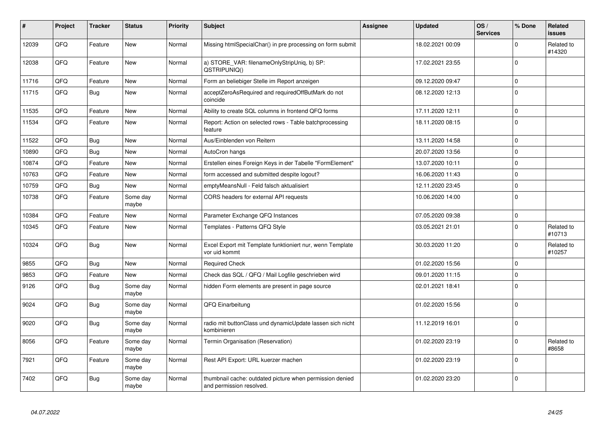| #     | Project | <b>Tracker</b> | <b>Status</b>     | <b>Priority</b> | <b>Subject</b>                                                                       | <b>Assignee</b> | <b>Updated</b>   | OS/<br><b>Services</b> | % Done      | Related<br><b>issues</b> |
|-------|---------|----------------|-------------------|-----------------|--------------------------------------------------------------------------------------|-----------------|------------------|------------------------|-------------|--------------------------|
| 12039 | QFQ     | Feature        | <b>New</b>        | Normal          | Missing htmlSpecialChar() in pre processing on form submit                           |                 | 18.02.2021 00:09 |                        | $\mathbf 0$ | Related to<br>#14320     |
| 12038 | QFQ     | Feature        | New               | Normal          | a) STORE_VAR: filenameOnlyStripUniq, b) SP:<br>QSTRIPUNIQ()                          |                 | 17.02.2021 23:55 |                        | $\mathbf 0$ |                          |
| 11716 | QFQ     | Feature        | New               | Normal          | Form an beliebiger Stelle im Report anzeigen                                         |                 | 09.12.2020 09:47 |                        | $\mathbf 0$ |                          |
| 11715 | QFQ     | <b>Bug</b>     | <b>New</b>        | Normal          | acceptZeroAsRequired and requiredOffButMark do not<br>coincide                       |                 | 08.12.2020 12:13 |                        | $\mathbf 0$ |                          |
| 11535 | QFQ     | Feature        | <b>New</b>        | Normal          | Ability to create SQL columns in frontend QFQ forms                                  |                 | 17.11.2020 12:11 |                        | $\mathbf 0$ |                          |
| 11534 | QFQ     | Feature        | New               | Normal          | Report: Action on selected rows - Table batchprocessing<br>feature                   |                 | 18.11.2020 08:15 |                        | $\mathbf 0$ |                          |
| 11522 | QFQ     | Bug            | New               | Normal          | Aus/Einblenden von Reitern                                                           |                 | 13.11.2020 14:58 |                        | $\mathbf 0$ |                          |
| 10890 | QFQ     | <b>Bug</b>     | <b>New</b>        | Normal          | AutoCron hangs                                                                       |                 | 20.07.2020 13:56 |                        | $\mathbf 0$ |                          |
| 10874 | QFQ     | Feature        | New               | Normal          | Erstellen eines Foreign Keys in der Tabelle "FormElement"                            |                 | 13.07.2020 10:11 |                        | $\mathbf 0$ |                          |
| 10763 | QFQ     | Feature        | <b>New</b>        | Normal          | form accessed and submitted despite logout?                                          |                 | 16.06.2020 11:43 |                        | $\mathbf 0$ |                          |
| 10759 | QFQ     | <b>Bug</b>     | New               | Normal          | emptyMeansNull - Feld falsch aktualisiert                                            |                 | 12.11.2020 23:45 |                        | $\pmb{0}$   |                          |
| 10738 | QFQ     | Feature        | Some day<br>maybe | Normal          | CORS headers for external API requests                                               |                 | 10.06.2020 14:00 |                        | $\mathbf 0$ |                          |
| 10384 | QFQ     | Feature        | <b>New</b>        | Normal          | Parameter Exchange QFQ Instances                                                     |                 | 07.05.2020 09:38 |                        | $\mathbf 0$ |                          |
| 10345 | QFQ     | Feature        | <b>New</b>        | Normal          | Templates - Patterns QFQ Style                                                       |                 | 03.05.2021 21:01 |                        | $\mathbf 0$ | Related to<br>#10713     |
| 10324 | QFQ     | Bug            | New               | Normal          | Excel Export mit Template funktioniert nur, wenn Template<br>vor uid kommt           |                 | 30.03.2020 11:20 |                        | $\mathbf 0$ | Related to<br>#10257     |
| 9855  | QFQ     | Bug            | New               | Normal          | <b>Required Check</b>                                                                |                 | 01.02.2020 15:56 |                        | $\mathbf 0$ |                          |
| 9853  | QFQ     | Feature        | New               | Normal          | Check das SQL / QFQ / Mail Logfile geschrieben wird                                  |                 | 09.01.2020 11:15 |                        | $\mathbf 0$ |                          |
| 9126  | QFQ     | <b>Bug</b>     | Some day<br>maybe | Normal          | hidden Form elements are present in page source                                      |                 | 02.01.2021 18:41 |                        | $\mathbf 0$ |                          |
| 9024  | QFQ     | Bug            | Some day<br>maybe | Normal          | QFQ Einarbeitung                                                                     |                 | 01.02.2020 15:56 |                        | $\mathbf 0$ |                          |
| 9020  | QFQ     | <b>Bug</b>     | Some day<br>maybe | Normal          | radio mit buttonClass und dynamicUpdate lassen sich nicht<br>kombinieren             |                 | 11.12.2019 16:01 |                        | $\mathbf 0$ |                          |
| 8056  | QFQ     | Feature        | Some day<br>maybe | Normal          | Termin Organisation (Reservation)                                                    |                 | 01.02.2020 23:19 |                        | $\mathbf 0$ | Related to<br>#8658      |
| 7921  | QFQ     | Feature        | Some day<br>maybe | Normal          | Rest API Export: URL kuerzer machen                                                  |                 | 01.02.2020 23:19 |                        | $\mathbf 0$ |                          |
| 7402  | QFQ     | Bug            | Some day<br>maybe | Normal          | thumbnail cache: outdated picture when permission denied<br>and permission resolved. |                 | 01.02.2020 23:20 |                        | $\mathbf 0$ |                          |